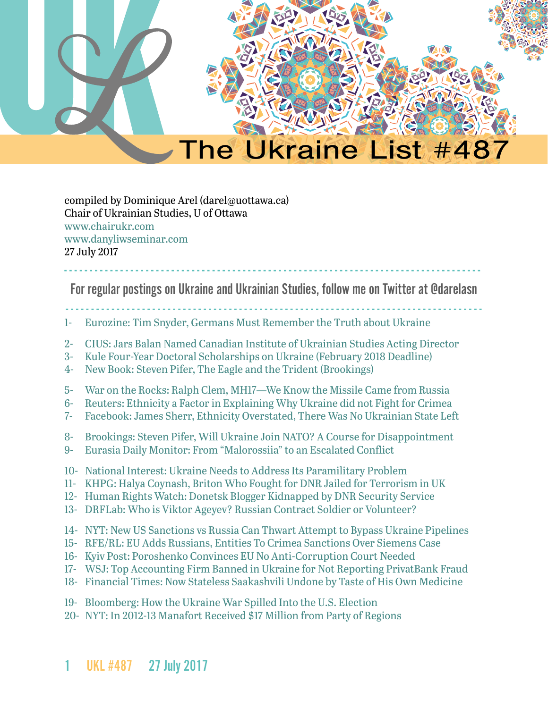

compiled by Dominique Arel (darel@uottawa.ca) Chair of Ukrainian Studies, U of Ottawa www.chairukr.com www.danyliwseminar.com 27 July 2017

For regular postings on Ukraine and Ukrainian Studies, follow me on Twitter at @darelasn

<span id="page-0-0"></span>- - - - - - - - - - - - - - - - - - - - - - - - - - - - - - - - - - - - - - - - - - - - - - - - - - - - - - - - - - - - - - - - - - - - - - - - - - - - - - - - - -

- - - - - - - - - - - - - - - - - - - - - - - - - - - - - - - - - - - - - - - - - - 1- [Eurozine: Tim Snyder, Germans Must Remember the Truth about Ukraine](#page-1-0)
- 2- [CIUS: Jars Balan Named Canadian Institute of Ukrainian Studies Acting Director](#page-10-0)
- 3- [Kule Four-Year Doctoral Scholarships on Ukraine \(February 2018 Deadline\)](#page-11-0)
- 4- [New Book: Steven Pifer, The Eagle and the Trident \(Brookings\)](#page-12-0)
- 5- [War on the Rocks: Ralph Clem, MH17—We Know the Missile Came from Russia](#page-13-0)
- 6- [Reuters: Ethnicity a Factor in Explaining Why Ukraine did not Fight for Crimea](#page-19-0)
- 7- [Facebook: James Sherr, Ethnicity Overstated, There Was No Ukrainian State Left](#page-23-0)
- 8- [Brookings: Steven Pifer, Will Ukraine Join NATO? A Course for Disappointment](#page-24-0)
- 9- [Eurasia Daily Monitor: From "Malorossiia" to an Escalated Conflict](#page-26-0)
- 10- [National Interest: Ukraine Needs to Address Its Paramilitary Problem](#page-28-0)
- 11- [KHPG: Halya Coynash, Briton Who Fought for DNR Jailed for Terrorism in UK](#page-32-0)
- 12- Human Rights Watch: Donetsk Blogger Kidnapped by DNR Security Service
- 13- DRFLab: Who is Viktor Ageyev? Russian Contract Soldier or Volunteer?
- 14- [NYT: New US Sanctions vs Russia Can Thwart Attempt to Bypass Ukraine Pipelines](#page-40-0)
- 15- RFE/RL: EU Adds Russians, Entities To Crimea Sanctions Over Siemens Case
- 16- [Kyiv Post: Poroshenko Convinces EU No Anti-Corruption Court Needed](#page-44-0)
- 17- [WSJ: Top Accounting Firm Banned in Ukraine for Not Reporting PrivatBank Fraud](#page-47-0)
- 18- [Financial Times: Now Stateless Saakashvili Undone by Taste of His Own Medicine](#page-49-0)
- 19- [Bloomberg: How the Ukraine War Spilled Into the U.S. Election](#page-51-0)
- 20- [NYT: In 2012-13 Manafort Received \\$17 Million from Party of Regions](#page-53-0)
- 1 UKL #487 27 July 2017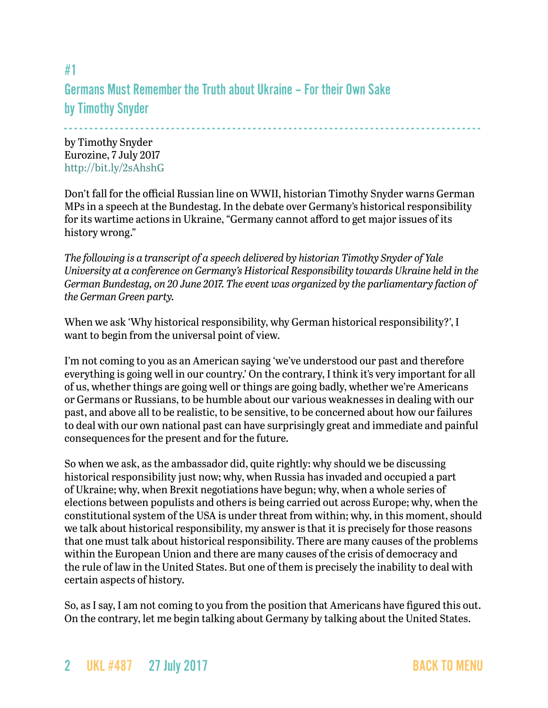# <span id="page-1-0"></span>#1 Germans Must Remember the Truth about Ukraine – For their Own Sake by Timothy Snyder

- - - - - - - - - - - - - - - - - - - - - - - - - - - - - - - - - - - - - - - - - - - - - - - - - - - - - - - - - - - - - - - - - - - - - - - - - - - - - - - - - -

by Timothy Snyder Eurozine, 7 July 2017 <http://bit.ly/2sAhshG>

Don't fall for the official Russian line on WWII, historian Timothy Snyder warns German MPs in a speech at the Bundestag. In the debate over Germany's historical responsibility for its wartime actions in Ukraine, "Germany cannot afford to get major issues of its history wrong."

*The following is a transcript of a speech delivered by historian Timothy Snyder of Yale University at a conference on Germany's Historical Responsibility towards Ukraine held in the German Bundestag, on 20 June 2017. The event was organized by the parliamentary faction of the German Green party.*

When we ask 'Why historical responsibility, why German historical responsibility?', I want to begin from the universal point of view.

I'm not coming to you as an American saying 'we've understood our past and therefore everything is going well in our country.' On the contrary, I think it's very important for all of us, whether things are going well or things are going badly, whether we're Americans or Germans or Russians, to be humble about our various weaknesses in dealing with our past, and above all to be realistic, to be sensitive, to be concerned about how our failures to deal with our own national past can have surprisingly great and immediate and painful consequences for the present and for the future.

So when we ask, as the ambassador did, quite rightly: why should we be discussing historical responsibility just now; why, when Russia has invaded and occupied a part of Ukraine; why, when Brexit negotiations have begun; why, when a whole series of elections between populists and others is being carried out across Europe; why, when the constitutional system of the USA is under threat from within; why, in this moment, should we talk about historical responsibility, my answer is that it is precisely for those reasons that one must talk about historical responsibility. There are many causes of the problems within the European Union and there are many causes of the crisis of democracy and the rule of law in the United States. But one of them is precisely the inability to deal with certain aspects of history.

So, as I say, I am not coming to you from the position that Americans have figured this out. On the contrary, let me begin talking about Germany by talking about the United States.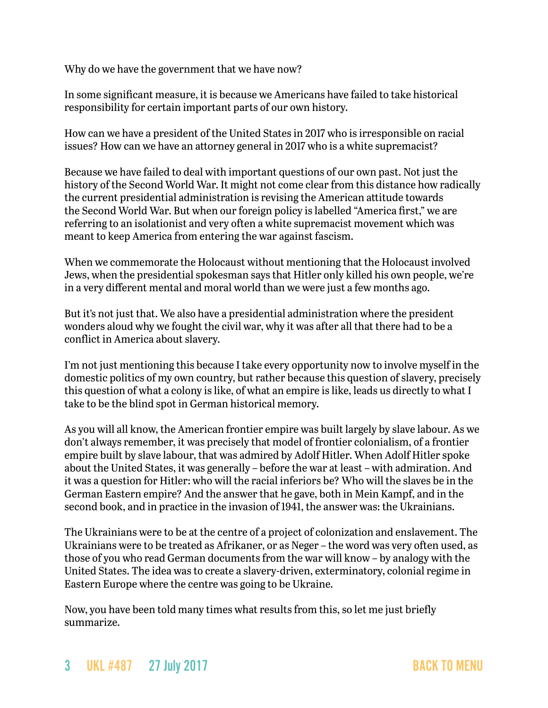Why do we have the government that we have now?

In some significant measure, it is because we Americans have failed to take historical responsibility for certain important parts of our own history.

How can we have a president of the United States in 2017 who is irresponsible on racial issues? How can we have an attorney general in 2017 who is a white supremacist?

Because we have failed to deal with important questions of our own past. Not just the history of the Second World War. It might not come clear from this distance how radically the current presidential administration is revising the American attitude towards the Second World War. But when our foreign policy is labelled "America first," we are referring to an isolationist and very often a white supremacist movement which was meant to keep America from entering the war against fascism.

When we commemorate the Holocaust without mentioning that the Holocaust involved Jews, when the presidential spokesman says that Hitler only killed his own people, we're in a very different mental and moral world than we were just a few months ago.

But it's not just that. We also have a presidential administration where the president wonders aloud why we fought the civil war, why it was after all that there had to be a conflict in America about slavery.

I'm not just mentioning this because I take every opportunity now to involve myself in the domestic politics of my own country, but rather because this question of slavery, precisely this question of what a colony is like, of what an empire is like, leads us directly to what I take to be the blind spot in German historical memory.

As you will all know, the American frontier empire was built largely by slave labour. As we don't always remember, it was precisely that model of frontier colonialism, of a frontier empire built by slave labour, that was admired by Adolf Hitler. When Adolf Hitler spoke about the United States, it was generally – before the war at least – with admiration. And it was a question for Hitler: who will the racial inferiors be? Who will the slaves be in the German Eastern empire? And the answer that he gave, both in Mein Kampf, and in the second book, and in practice in the invasion of 1941, the answer was: the Ukrainians.

The Ukrainians were to be at the centre of a project of colonization and enslavement. The Ukrainians were to be treated as Afrikaner, or as Neger – the word was very often used, as those of you who read German documents from the war will know – by analogy with the United States. The idea was to create a slavery-driven, exterminatory, colonial regime in Eastern Europe where the centre was going to be Ukraine.

Now, you have been told many times what results from this, so let me just briefly summarize.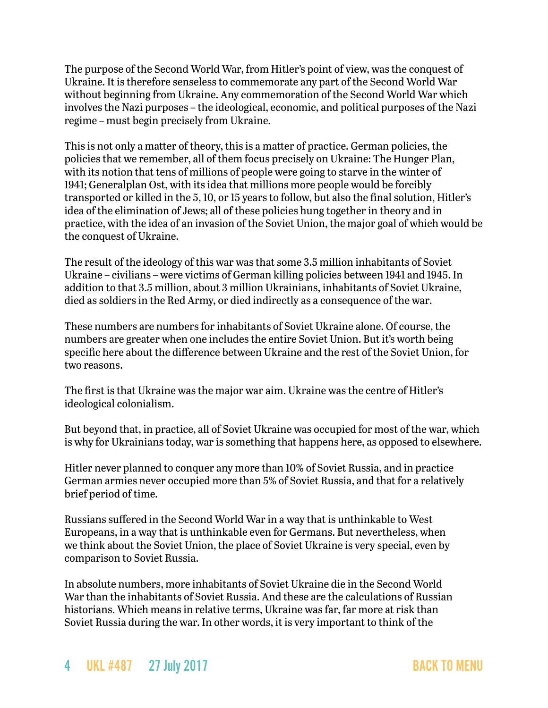The purpose of the Second World War, from Hitler's point of view, was the conquest of Ukraine. It is therefore senseless to commemorate any part of the Second World War without beginning from Ukraine. Any commemoration of the Second World War which involves the Nazi purposes – the ideological, economic, and political purposes of the Nazi regime – must begin precisely from Ukraine.

This is not only a matter of theory, this is a matter of practice. German policies, the policies that we remember, all of them focus precisely on Ukraine: The Hunger Plan, with its notion that tens of millions of people were going to starve in the winter of 1941; Generalplan Ost, with its idea that millions more people would be forcibly transported or killed in the 5, 10, or 15 years to follow, but also the final solution, Hitler's idea of the elimination of Jews; all of these policies hung together in theory and in practice, with the idea of an invasion of the Soviet Union, the major goal of which would be the conquest of Ukraine.

The result of the ideology of this war was that some 3.5 million inhabitants of Soviet Ukraine – civilians – were victims of German killing policies between 1941 and 1945. In addition to that 3.5 million, about 3 million Ukrainians, inhabitants of Soviet Ukraine, died as soldiers in the Red Army, or died indirectly as a consequence of the war.

These numbers are numbers for inhabitants of Soviet Ukraine alone. Of course, the numbers are greater when one includes the entire Soviet Union. But it's worth being specific here about the difference between Ukraine and the rest of the Soviet Union, for two reasons.

The first is that Ukraine was the major war aim. Ukraine was the centre of Hitler's ideological colonialism.

But beyond that, in practice, all of Soviet Ukraine was occupied for most of the war, which is why for Ukrainians today, war is something that happens here, as opposed to elsewhere.

Hitler never planned to conquer any more than 10% of Soviet Russia, and in practice German armies never occupied more than 5% of Soviet Russia, and that for a relatively brief period of time.

Russians suffered in the Second World War in a way that is unthinkable to West Europeans, in a way that is unthinkable even for Germans. But nevertheless, when we think about the Soviet Union, the place of Soviet Ukraine is very special, even by comparison to Soviet Russia.

In absolute numbers, more inhabitants of Soviet Ukraine die in the Second World War than the inhabitants of Soviet Russia. And these are the calculations of Russian historians. Which means in relative terms, Ukraine was far, far more at risk than Soviet Russia during the war. In other words, it is very important to think of the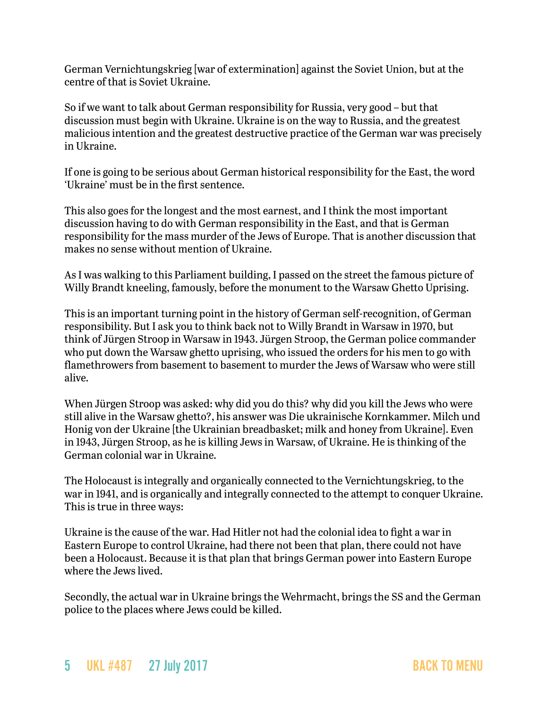German Vernichtungskrieg [war of extermination] against the Soviet Union, but at the centre of that is Soviet Ukraine.

So if we want to talk about German responsibility for Russia, very good – but that discussion must begin with Ukraine. Ukraine is on the way to Russia, and the greatest malicious intention and the greatest destructive practice of the German war was precisely in Ukraine.

If one is going to be serious about German historical responsibility for the East, the word 'Ukraine' must be in the first sentence.

This also goes for the longest and the most earnest, and I think the most important discussion having to do with German responsibility in the East, and that is German responsibility for the mass murder of the Jews of Europe. That is another discussion that makes no sense without mention of Ukraine.

As I was walking to this Parliament building, I passed on the street the famous picture of Willy Brandt kneeling, famously, before the monument to the Warsaw Ghetto Uprising.

This is an important turning point in the history of German self-recognition, of German responsibility. But I ask you to think back not to Willy Brandt in Warsaw in 1970, but think of Jürgen Stroop in Warsaw in 1943. Jürgen Stroop, the German police commander who put down the Warsaw ghetto uprising, who issued the orders for his men to go with flamethrowers from basement to basement to murder the Jews of Warsaw who were still alive.

When Jürgen Stroop was asked: why did you do this? why did you kill the Jews who were still alive in the Warsaw ghetto?, his answer was Die ukrainische Kornkammer. Milch und Honig von der Ukraine [the Ukrainian breadbasket; milk and honey from Ukraine]. Even in 1943, Jürgen Stroop, as he is killing Jews in Warsaw, of Ukraine. He is thinking of the German colonial war in Ukraine.

The Holocaust is integrally and organically connected to the Vernichtungskrieg, to the war in 1941, and is organically and integrally connected to the attempt to conquer Ukraine. This is true in three ways:

Ukraine is the cause of the war. Had Hitler not had the colonial idea to fight a war in Eastern Europe to control Ukraine, had there not been that plan, there could not have been a Holocaust. Because it is that plan that brings German power into Eastern Europe where the Jews lived.

Secondly, the actual war in Ukraine brings the Wehrmacht, brings the SS and the German police to the places where Jews could be killed.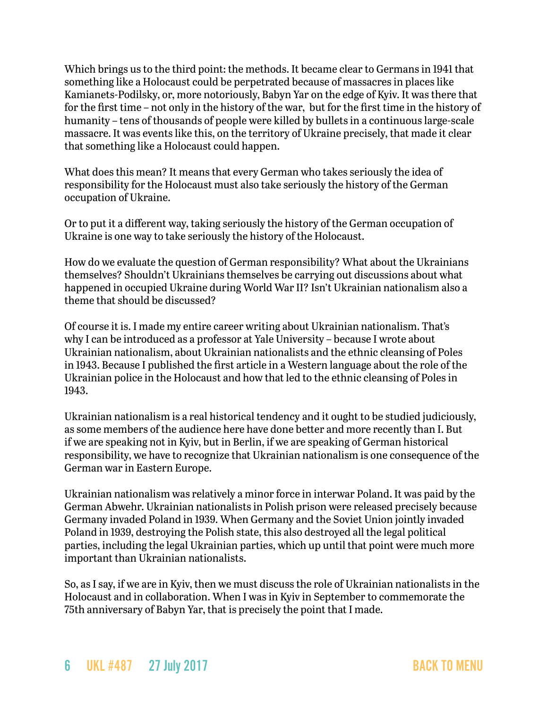Which brings us to the third point: the methods. It became clear to Germans in 1941 that something like a Holocaust could be perpetrated because of massacres in places like Kamianets-Podilsky, or, more notoriously, Babyn Yar on the edge of Kyiv. It was there that for the first time – not only in the history of the war, but for the first time in the history of humanity – tens of thousands of people were killed by bullets in a continuous large-scale massacre. It was events like this, on the territory of Ukraine precisely, that made it clear that something like a Holocaust could happen.

What does this mean? It means that every German who takes seriously the idea of responsibility for the Holocaust must also take seriously the history of the German occupation of Ukraine.

Or to put it a different way, taking seriously the history of the German occupation of Ukraine is one way to take seriously the history of the Holocaust.

How do we evaluate the question of German responsibility? What about the Ukrainians themselves? Shouldn't Ukrainians themselves be carrying out discussions about what happened in occupied Ukraine during World War II? Isn't Ukrainian nationalism also a theme that should be discussed?

Of course it is. I made my entire career writing about Ukrainian nationalism. That's why I can be introduced as a professor at Yale University – because I wrote about Ukrainian nationalism, about Ukrainian nationalists and the ethnic cleansing of Poles in 1943. Because I published the first article in a Western language about the role of the Ukrainian police in the Holocaust and how that led to the ethnic cleansing of Poles in 1943.

Ukrainian nationalism is a real historical tendency and it ought to be studied judiciously, as some members of the audience here have done better and more recently than I. But if we are speaking not in Kyiv, but in Berlin, if we are speaking of German historical responsibility, we have to recognize that Ukrainian nationalism is one consequence of the German war in Eastern Europe.

Ukrainian nationalism was relatively a minor force in interwar Poland. It was paid by the German Abwehr. Ukrainian nationalists in Polish prison were released precisely because Germany invaded Poland in 1939. When Germany and the Soviet Union jointly invaded Poland in 1939, destroying the Polish state, this also destroyed all the legal political parties, including the legal Ukrainian parties, which up until that point were much more important than Ukrainian nationalists.

So, as I say, if we are in Kyiv, then we must discuss the role of Ukrainian nationalists in the Holocaust and in collaboration. When I was in Kyiv in September to commemorate the 75th anniversary of Babyn Yar, that is precisely the point that I made.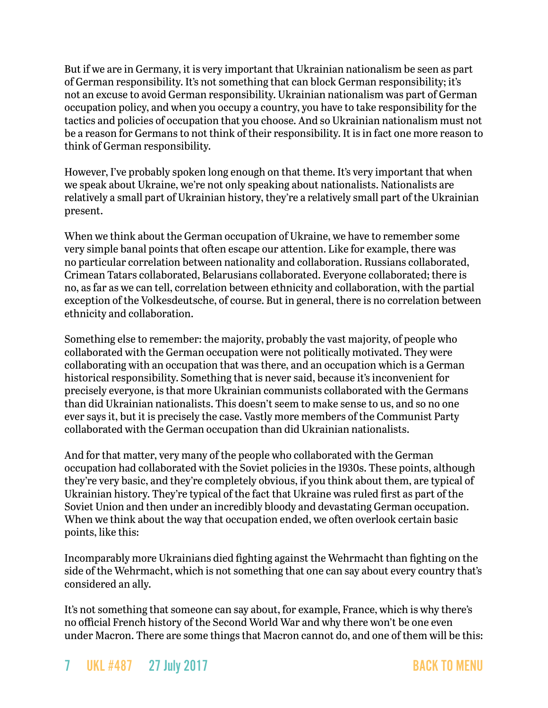But if we are in Germany, it is very important that Ukrainian nationalism be seen as part of German responsibility. It's not something that can block German responsibility; it's not an excuse to avoid German responsibility. Ukrainian nationalism was part of German occupation policy, and when you occupy a country, you have to take responsibility for the tactics and policies of occupation that you choose. And so Ukrainian nationalism must not be a reason for Germans to not think of their responsibility. It is in fact one more reason to think of German responsibility.

However, I've probably spoken long enough on that theme. It's very important that when we speak about Ukraine, we're not only speaking about nationalists. Nationalists are relatively a small part of Ukrainian history, they're a relatively small part of the Ukrainian present.

When we think about the German occupation of Ukraine, we have to remember some very simple banal points that often escape our attention. Like for example, there was no particular correlation between nationality and collaboration. Russians collaborated, Crimean Tatars collaborated, Belarusians collaborated. Everyone collaborated; there is no, as far as we can tell, correlation between ethnicity and collaboration, with the partial exception of the Volkesdeutsche, of course. But in general, there is no correlation between ethnicity and collaboration.

Something else to remember: the majority, probably the vast majority, of people who collaborated with the German occupation were not politically motivated. They were collaborating with an occupation that was there, and an occupation which is a German historical responsibility. Something that is never said, because it's inconvenient for precisely everyone, is that more Ukrainian communists collaborated with the Germans than did Ukrainian nationalists. This doesn't seem to make sense to us, and so no one ever says it, but it is precisely the case. Vastly more members of the Communist Party collaborated with the German occupation than did Ukrainian nationalists.

And for that matter, very many of the people who collaborated with the German occupation had collaborated with the Soviet policies in the 1930s. These points, although they're very basic, and they're completely obvious, if you think about them, are typical of Ukrainian history. They're typical of the fact that Ukraine was ruled first as part of the Soviet Union and then under an incredibly bloody and devastating German occupation. When we think about the way that occupation ended, we often overlook certain basic points, like this:

Incomparably more Ukrainians died fighting against the Wehrmacht than fighting on the side of the Wehrmacht, which is not something that one can say about every country that's considered an ally.

It's not something that someone can say about, for example, France, which is why there's no official French history of the Second World War and why there won't be one even under Macron. There are some things that Macron cannot do, and one of them will be this: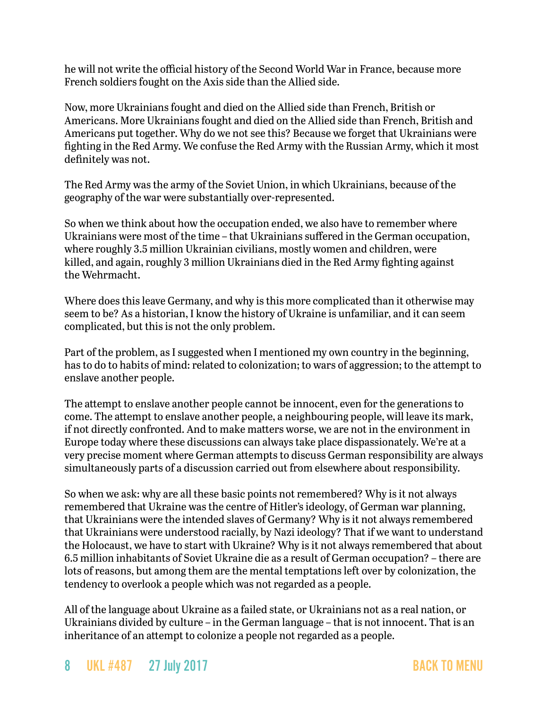he will not write the official history of the Second World War in France, because more French soldiers fought on the Axis side than the Allied side.

Now, more Ukrainians fought and died on the Allied side than French, British or Americans. More Ukrainians fought and died on the Allied side than French, British and Americans put together. Why do we not see this? Because we forget that Ukrainians were fighting in the Red Army. We confuse the Red Army with the Russian Army, which it most definitely was not.

The Red Army was the army of the Soviet Union, in which Ukrainians, because of the geography of the war were substantially over-represented.

So when we think about how the occupation ended, we also have to remember where Ukrainians were most of the time – that Ukrainians suffered in the German occupation, where roughly 3.5 million Ukrainian civilians, mostly women and children, were killed, and again, roughly 3 million Ukrainians died in the Red Army fighting against the Wehrmacht.

Where does this leave Germany, and why is this more complicated than it otherwise may seem to be? As a historian, I know the history of Ukraine is unfamiliar, and it can seem complicated, but this is not the only problem.

Part of the problem, as I suggested when I mentioned my own country in the beginning, has to do to habits of mind: related to colonization; to wars of aggression; to the attempt to enslave another people.

The attempt to enslave another people cannot be innocent, even for the generations to come. The attempt to enslave another people, a neighbouring people, will leave its mark, if not directly confronted. And to make matters worse, we are not in the environment in Europe today where these discussions can always take place dispassionately. We're at a very precise moment where German attempts to discuss German responsibility are always simultaneously parts of a discussion carried out from elsewhere about responsibility.

So when we ask: why are all these basic points not remembered? Why is it not always remembered that Ukraine was the centre of Hitler's ideology, of German war planning, that Ukrainians were the intended slaves of Germany? Why is it not always remembered that Ukrainians were understood racially, by Nazi ideology? That if we want to understand the Holocaust, we have to start with Ukraine? Why is it not always remembered that about 6.5 million inhabitants of Soviet Ukraine die as a result of German occupation? – there are lots of reasons, but among them are the mental temptations left over by colonization, the tendency to overlook a people which was not regarded as a people.

All of the language about Ukraine as a failed state, or Ukrainians not as a real nation, or Ukrainians divided by culture – in the German language – that is not innocent. That is an inheritance of an attempt to colonize a people not regarded as a people.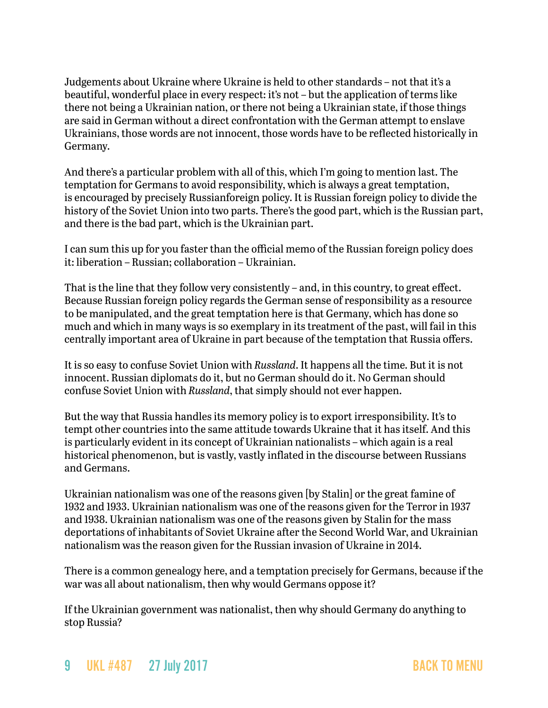Judgements about Ukraine where Ukraine is held to other standards – not that it's a beautiful, wonderful place in every respect: it's not – but the application of terms like there not being a Ukrainian nation, or there not being a Ukrainian state, if those things are said in German without a direct confrontation with the German attempt to enslave Ukrainians, those words are not innocent, those words have to be reflected historically in Germany.

And there's a particular problem with all of this, which I'm going to mention last. The temptation for Germans to avoid responsibility, which is always a great temptation, is encouraged by precisely Russianforeign policy. It is Russian foreign policy to divide the history of the Soviet Union into two parts. There's the good part, which is the Russian part, and there is the bad part, which is the Ukrainian part.

I can sum this up for you faster than the official memo of the Russian foreign policy does it: liberation – Russian; collaboration – Ukrainian.

That is the line that they follow very consistently – and, in this country, to great effect. Because Russian foreign policy regards the German sense of responsibility as a resource to be manipulated, and the great temptation here is that Germany, which has done so much and which in many ways is so exemplary in its treatment of the past, will fail in this centrally important area of Ukraine in part because of the temptation that Russia offers.

It is so easy to confuse Soviet Union with *Russland*. It happens all the time. But it is not innocent. Russian diplomats do it, but no German should do it. No German should confuse Soviet Union with *Russland*, that simply should not ever happen.

But the way that Russia handles its memory policy is to export irresponsibility. It's to tempt other countries into the same attitude towards Ukraine that it has itself. And this is particularly evident in its concept of Ukrainian nationalists – which again is a real historical phenomenon, but is vastly, vastly inflated in the discourse between Russians and Germans.

Ukrainian nationalism was one of the reasons given [by Stalin] or the great famine of 1932 and 1933. Ukrainian nationalism was one of the reasons given for the Terror in 1937 and 1938. Ukrainian nationalism was one of the reasons given by Stalin for the mass deportations of inhabitants of Soviet Ukraine after the Second World War, and Ukrainian nationalism was the reason given for the Russian invasion of Ukraine in 2014.

There is a common genealogy here, and a temptation precisely for Germans, because if the war was all about nationalism, then why would Germans oppose it?

If the Ukrainian government was nationalist, then why should Germany do anything to stop Russia?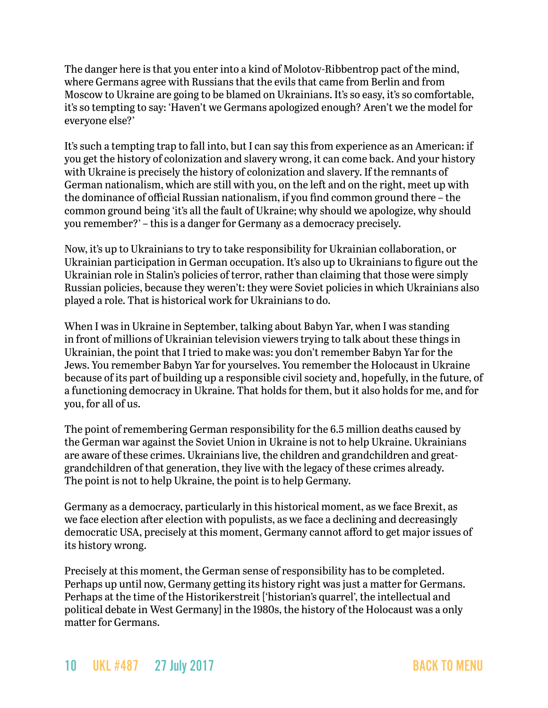The danger here is that you enter into a kind of Molotov-Ribbentrop pact of the mind, where Germans agree with Russians that the evils that came from Berlin and from Moscow to Ukraine are going to be blamed on Ukrainians. It's so easy, it's so comfortable, it's so tempting to say: 'Haven't we Germans apologized enough? Aren't we the model for everyone else?'

It's such a tempting trap to fall into, but I can say this from experience as an American: if you get the history of colonization and slavery wrong, it can come back. And your history with Ukraine is precisely the history of colonization and slavery. If the remnants of German nationalism, which are still with you, on the left and on the right, meet up with the dominance of official Russian nationalism, if you find common ground there – the common ground being 'it's all the fault of Ukraine; why should we apologize, why should you remember?' – this is a danger for Germany as a democracy precisely.

Now, it's up to Ukrainians to try to take responsibility for Ukrainian collaboration, or Ukrainian participation in German occupation. It's also up to Ukrainians to figure out the Ukrainian role in Stalin's policies of terror, rather than claiming that those were simply Russian policies, because they weren't: they were Soviet policies in which Ukrainians also played a role. That is historical work for Ukrainians to do.

When I was in Ukraine in September, talking about Babyn Yar, when I was standing in front of millions of Ukrainian television viewers trying to talk about these things in Ukrainian, the point that I tried to make was: you don't remember Babyn Yar for the Jews. You remember Babyn Yar for yourselves. You remember the Holocaust in Ukraine because of its part of building up a responsible civil society and, hopefully, in the future, of a functioning democracy in Ukraine. That holds for them, but it also holds for me, and for you, for all of us.

The point of remembering German responsibility for the 6.5 million deaths caused by the German war against the Soviet Union in Ukraine is not to help Ukraine. Ukrainians are aware of these crimes. Ukrainians live, the children and grandchildren and greatgrandchildren of that generation, they live with the legacy of these crimes already. The point is not to help Ukraine, the point is to help Germany.

Germany as a democracy, particularly in this historical moment, as we face Brexit, as we face election after election with populists, as we face a declining and decreasingly democratic USA, precisely at this moment, Germany cannot afford to get major issues of its history wrong.

Precisely at this moment, the German sense of responsibility has to be completed. Perhaps up until now, Germany getting its history right was just a matter for Germans. Perhaps at the time of the Historikerstreit ['historian's quarrel', the intellectual and political debate in West Germany] in the 1980s, the history of the Holocaust was a only matter for Germans.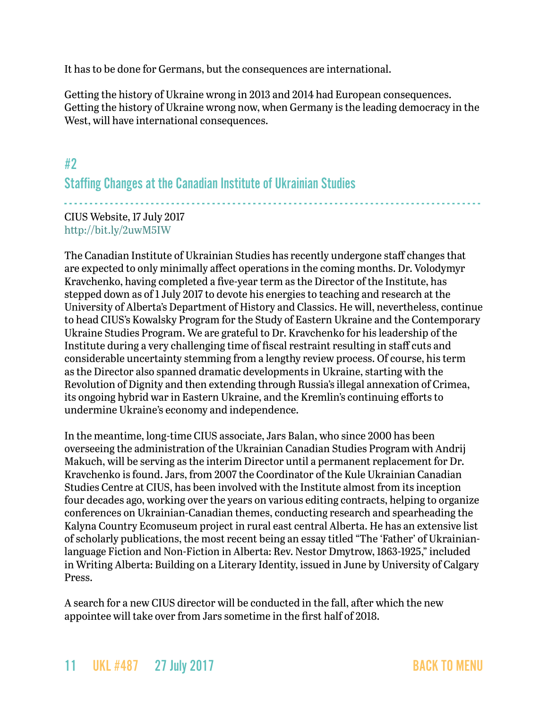It has to be done for Germans, but the consequences are international.

Getting the history of Ukraine wrong in 2013 and 2014 had European consequences. Getting the history of Ukraine wrong now, when Germany is the leading democracy in the West, will have international consequences.

# <span id="page-10-0"></span>#2 Staffing Changes at the Canadian Institute of Ukrainian Studies

- - - - - - - - - - - - - - - - - - - - - - - - - - - - - - - - - - - - - - - - - - - - - - - - - - - - - - - - - - - - - - - - - - - - - - - - - - - - - - - - - - CIUS Website, 17 July 2017 <http://bit.ly/2uwM5IW>

The Canadian Institute of Ukrainian Studies has recently undergone staff changes that are expected to only minimally affect operations in the coming months. Dr. Volodymyr Kravchenko, having completed a five-year term as the Director of the Institute, has stepped down as of 1 July 2017 to devote his energies to teaching and research at the University of Alberta's Department of History and Classics. He will, nevertheless, continue to head CIUS's Kowalsky Program for the Study of Eastern Ukraine and the Contemporary Ukraine Studies Program. We are grateful to Dr. Kravchenko for his leadership of the Institute during a very challenging time of fiscal restraint resulting in staff cuts and considerable uncertainty stemming from a lengthy review process. Of course, his term as the Director also spanned dramatic developments in Ukraine, starting with the Revolution of Dignity and then extending through Russia's illegal annexation of Crimea, its ongoing hybrid war in Eastern Ukraine, and the Kremlin's continuing efforts to undermine Ukraine's economy and independence.

In the meantime, long-time CIUS associate, Jars Balan, who since 2000 has been overseeing the administration of the Ukrainian Canadian Studies Program with Andrij Makuch, will be serving as the interim Director until a permanent replacement for Dr. Kravchenko is found. Jars, from 2007 the Coordinator of the Kule Ukrainian Canadian Studies Centre at CIUS, has been involved with the Institute almost from its inception four decades ago, working over the years on various editing contracts, helping to organize conferences on Ukrainian-Canadian themes, conducting research and spearheading the Kalyna Country Ecomuseum project in rural east central Alberta. He has an extensive list of scholarly publications, the most recent being an essay titled "The 'Father' of Ukrainianlanguage Fiction and Non-Fiction in Alberta: Rev. Nestor Dmytrow, 1863-1925," included in Writing Alberta: Building on a Literary Identity, issued in June by University of Calgary Press.

A search for a new CIUS director will be conducted in the fall, after which the new appointee will take over from Jars sometime in the first half of 2018.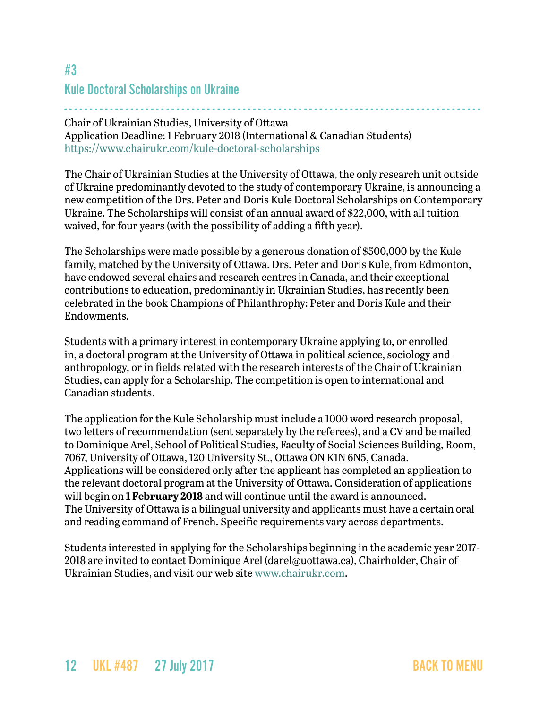# <span id="page-11-0"></span>#3 Kule Doctoral Scholarships on Ukraine

- - - - - - - - - - - - - - - - - - - - - - - - - - - - - - - - - - - - - - - - - - - - - - - - - - - - - - - - - - - - - - - - - - - - - - - - - - - - - - - - - - Chair of Ukrainian Studies, University of Ottawa Application Deadline: 1 February 2018 (International & Canadian Students) <https://www.chairukr.com/kule-doctoral-scholarships>

The Chair of Ukrainian Studies at the University of Ottawa, the only research unit outside of Ukraine predominantly devoted to the study of contemporary Ukraine, is announcing a new competition of the Drs. Peter and Doris Kule Doctoral Scholarships on Contemporary Ukraine. The Scholarships will consist of an annual award of \$22,000, with all tuition waived, for four years (with the possibility of adding a fifth year).

The Scholarships were made possible by a generous donation of \$500,000 by the Kule family, matched by the University of Ottawa. Drs. Peter and Doris Kule, from Edmonton, have endowed several chairs and research centres in Canada, and their exceptional contributions to education, predominantly in Ukrainian Studies, has recently been celebrated in the book Champions of Philanthrophy: Peter and Doris Kule and their Endowments.

Students with a primary interest in contemporary Ukraine applying to, or enrolled in, a doctoral program at the University of Ottawa in political science, sociology and anthropology, or in fields related with the research interests of the Chair of Ukrainian Studies, can apply for a Scholarship. The competition is open to international and Canadian students.

The application for the Kule Scholarship must include a 1000 word research proposal, two letters of recommendation (sent separately by the referees), and a CV and be mailed to Dominique Arel, School of Political Studies, Faculty of Social Sciences Building, Room, 7067, University of Ottawa, 120 University St., Ottawa ON K1N 6N5, Canada. Applications will be considered only after the applicant has completed an application to the relevant doctoral program at the University of Ottawa. Consideration of applications will begin on **1 February 2018** and will continue until the award is announced. The University of Ottawa is a bilingual university and applicants must have a certain oral and reading command of French. Specific requirements vary across departments.

Students interested in applying for the Scholarships beginning in the academic year 2017- 2018 are invited to contact Dominique Arel [\(darel@uottawa.ca](mailto:darel@uottawa.ca)), Chairholder, Chair of Ukrainian Studies, and visit our web site [www.chairukr.com](http://www.chairukr.com).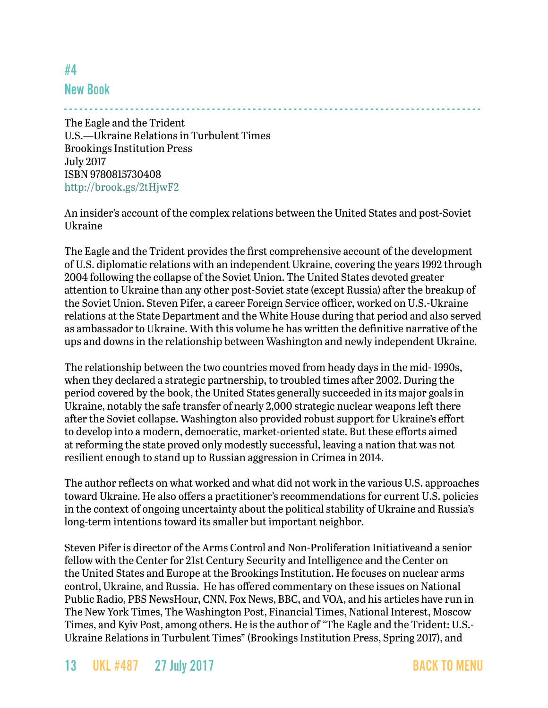New Book

<span id="page-12-0"></span>#4

- - - - - - - - - - - - - - - - - - - - - - - - - - - - - - - - - - - - - - - - - - - - - - - - - - - - - - - - - - - - - - - - - - - - - - - - - - - - - - - - - -

The Eagle and the Trident U.S.—Ukraine Relations in Turbulent Times Brookings Institution Press July 2017 ISBN 9780815730408 <http://brook.gs/2tHjwF2>

An insider's account of the complex relations between the United States and post-Soviet Ukraine

The Eagle and the Trident provides the first comprehensive account of the development of U.S. diplomatic relations with an independent Ukraine, covering the years 1992 through 2004 following the collapse of the Soviet Union. The United States devoted greater attention to Ukraine than any other post-Soviet state (except Russia) after the breakup of the Soviet Union. Steven Pifer, a career Foreign Service officer, worked on U.S.-Ukraine relations at the State Department and the White House during that period and also served as ambassador to Ukraine. With this volume he has written the definitive narrative of the ups and downs in the relationship between Washington and newly independent Ukraine.

The relationship between the two countries moved from heady days in the mid- 1990s, when they declared a strategic partnership, to troubled times after 2002. During the period covered by the book, the United States generally succeeded in its major goals in Ukraine, notably the safe transfer of nearly 2,000 strategic nuclear weapons left there after the Soviet collapse. Washington also provided robust support for Ukraine's effort to develop into a modern, democratic, market-oriented state. But these efforts aimed at reforming the state proved only modestly successful, leaving a nation that was not resilient enough to stand up to Russian aggression in Crimea in 2014.

The author reflects on what worked and what did not work in the various U.S. approaches toward Ukraine. He also offers a practitioner's recommendations for current U.S. policies in the context of ongoing uncertainty about the political stability of Ukraine and Russia's long-term intentions toward its smaller but important neighbor.

Steven Pifer is director of the Arms Control and Non-Proliferation Initiativeand a senior fellow with the Center for 21st Century Security and Intelligence and the Center on the United States and Europe at the Brookings Institution. He focuses on nuclear arms control, Ukraine, and Russia. He has offered commentary on these issues on National Public Radio, PBS NewsHour, CNN, Fox News, BBC, and VOA, and his articles have run in The New York Times, The Washington Post, Financial Times, National Interest, Moscow Times, and Kyiv Post, among others. He is the author of "The Eagle and the Trident: U.S.- Ukraine Relations in Turbulent Times" (Brookings Institution Press, Spring 2017), and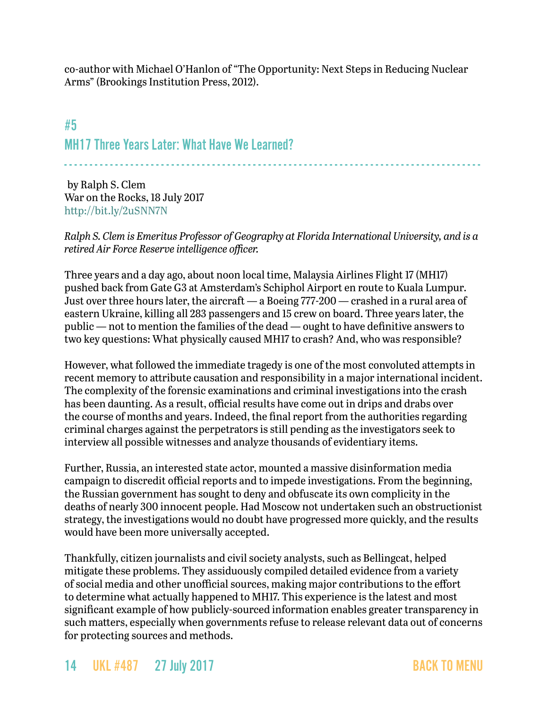co-author with Michael O'Hanlon of "The Opportunity: Next Steps in Reducing Nuclear Arms" (Brookings Institution Press, 2012).

<span id="page-13-0"></span>#5 MH17 Three Years Later: What Have We Learned?

- - - - - - - - - - - - - - - - - - - - - - - - - - - - - - - - - - - - - - - - - - - - - - - - - - - - - - - - - - - - - - - - - - - - - - - - - - - - - - - - - -

by Ralph S. Clem War on the Rocks, 18 July 2017 <http://bit.ly/2uSNN7N>

*Ralph S. Clem is Emeritus Professor of Geography at Florida International University, and is a retired Air Force Reserve intelligence officer.*

Three years and a day ago, about noon local time, Malaysia Airlines Flight 17 (MH17) pushed back from Gate G3 at Amsterdam's Schiphol Airport en route to Kuala Lumpur. Just over three hours later, the aircraft — a Boeing 777-200 — crashed in a rural area of eastern Ukraine, killing all 283 passengers and 15 crew on board. Three years later, the public — not to mention the families of the dead — ought to have definitive answers to two key questions: What physically caused MH17 to crash? And, who was responsible?

However, what followed the immediate tragedy is one of the most convoluted attempts in recent memory to attribute causation and responsibility in a major international incident. The complexity of the forensic examinations and criminal investigations into the crash has been daunting. As a result, official results have come out in drips and drabs over the course of months and years. Indeed, the final report from the authorities regarding criminal charges against the perpetrators is still pending as the investigators seek to interview all possible witnesses and analyze thousands of evidentiary items.

Further, Russia, an interested state actor, mounted a massive disinformation media campaign to discredit official reports and to impede investigations. From the beginning, the Russian government has sought to deny and obfuscate its own complicity in the deaths of nearly 300 innocent people. Had Moscow not undertaken such an obstructionist strategy, the investigations would no doubt have progressed more quickly, and the results would have been more universally accepted.

Thankfully, citizen journalists and civil society analysts, such as Bellingcat, helped mitigate these problems. They assiduously compiled detailed evidence from a variety of social media and other unofficial sources, making major contributions to the effort to determine what actually happened to MH17. This experience is the latest and most significant example of how publicly-sourced information enables greater transparency in such matters, especially when governments refuse to release relevant data out of concerns for protecting sources and methods.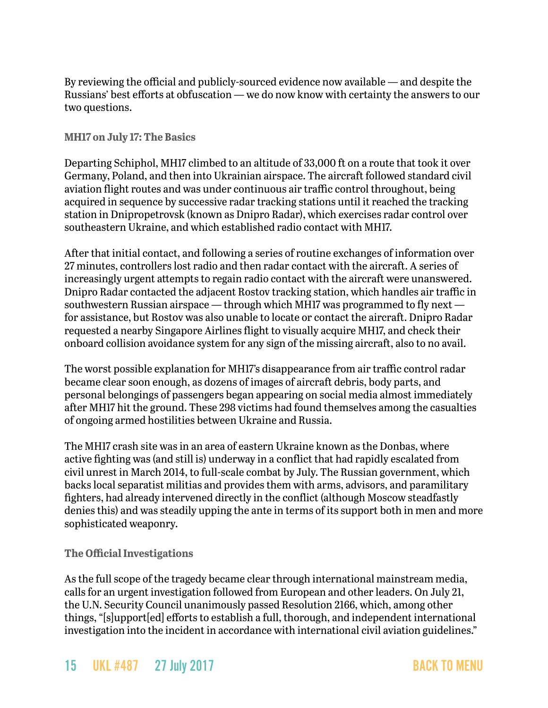By reviewing the official and publicly-sourced evidence now available — and despite the Russians' best efforts at obfuscation — we do now know with certainty the answers to our two questions.

### **MH17 on July 17: The Basics**

Departing Schiphol, MH17 climbed to an altitude of 33,000 ft on a route that took it over Germany, Poland, and then into Ukrainian airspace. The aircraft followed standard civil aviation flight routes and was under continuous air traffic control throughout, being acquired in sequence by successive radar tracking stations until it reached the tracking station in Dnipropetrovsk (known as Dnipro Radar), which exercises radar control over southeastern Ukraine, and which established radio contact with MH17.

After that initial contact, and following a series of routine exchanges of information over 27 minutes, controllers lost radio and then radar contact with the aircraft. A series of increasingly urgent attempts to regain radio contact with the aircraft were unanswered. Dnipro Radar contacted the adjacent Rostov tracking station, which handles air traffic in southwestern Russian airspace — through which MH17 was programmed to fly next for assistance, but Rostov was also unable to locate or contact the aircraft. Dnipro Radar requested a nearby Singapore Airlines flight to visually acquire MH17, and check their onboard collision avoidance system for any sign of the missing aircraft, also to no avail.

The worst possible explanation for MH17's disappearance from air traffic control radar became clear soon enough, as dozens of images of aircraft debris, body parts, and personal belongings of passengers began appearing on social media almost immediately after MH17 hit the ground. These 298 victims had found themselves among the casualties of ongoing armed hostilities between Ukraine and Russia.

The MH17 crash site was in an area of eastern Ukraine known as the Donbas, where active fighting was (and still is) underway in a conflict that had rapidly escalated from civil unrest in March 2014, to full-scale combat by July. The Russian government, which backs local separatist militias and provides them with arms, advisors, and paramilitary fighters, had already intervened directly in the conflict (although Moscow steadfastly denies this) and was steadily upping the ante in terms of its support both in men and more sophisticated weaponry.

### **The Official Investigations**

As the full scope of the tragedy became clear through international mainstream media, calls for an urgent investigation followed from European and other leaders. On July 21, the U.N. Security Council unanimously passed Resolution 2166, which, among other things, "[s]upport[ed] efforts to establish a full, thorough, and independent international investigation into the incident in accordance with international civil aviation guidelines."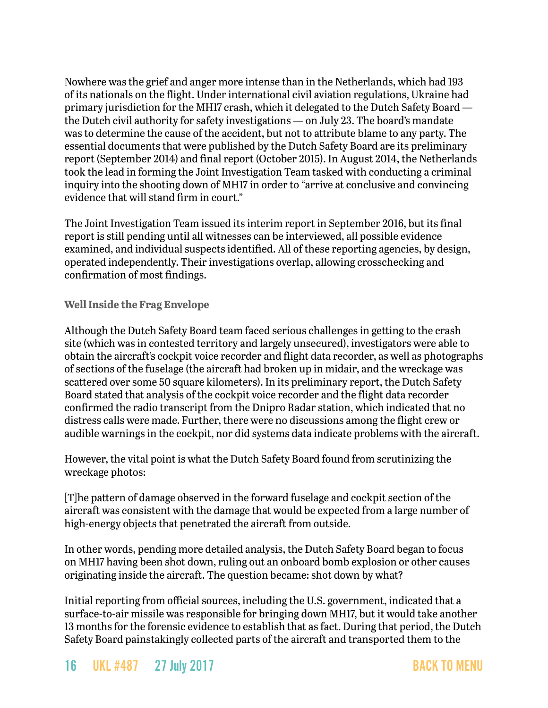Nowhere was the grief and anger more intense than in the Netherlands, which had 193 of its nationals on the flight. Under international civil aviation regulations, Ukraine had primary jurisdiction for the MH17 crash, which it delegated to the Dutch Safety Board the Dutch civil authority for safety investigations — on July 23. The board's mandate was to determine the cause of the accident, but not to attribute blame to any party. The essential documents that were published by the Dutch Safety Board are its preliminary report (September 2014) and final report (October 2015). In August 2014, the Netherlands took the lead in forming the Joint Investigation Team tasked with conducting a criminal inquiry into the shooting down of MH17 in order to "arrive at conclusive and convincing evidence that will stand firm in court."

The Joint Investigation Team issued its interim report in September 2016, but its final report is still pending until all witnesses can be interviewed, all possible evidence examined, and individual suspects identified. All of these reporting agencies, by design, operated independently. Their investigations overlap, allowing crosschecking and confirmation of most findings.

## **Well Inside the Frag Envelope**

Although the Dutch Safety Board team faced serious challenges in getting to the crash site (which was in contested territory and largely unsecured), investigators were able to obtain the aircraft's cockpit voice recorder and flight data recorder, as well as photographs of sections of the fuselage (the aircraft had broken up in midair, and the wreckage was scattered over some 50 square kilometers). In its preliminary report, the Dutch Safety Board stated that analysis of the cockpit voice recorder and the flight data recorder confirmed the radio transcript from the Dnipro Radar station, which indicated that no distress calls were made. Further, there were no discussions among the flight crew or audible warnings in the cockpit, nor did systems data indicate problems with the aircraft.

However, the vital point is what the Dutch Safety Board found from scrutinizing the wreckage photos:

[T]he pattern of damage observed in the forward fuselage and cockpit section of the aircraft was consistent with the damage that would be expected from a large number of high-energy objects that penetrated the aircraft from outside.

In other words, pending more detailed analysis, the Dutch Safety Board began to focus on MH17 having been shot down, ruling out an onboard bomb explosion or other causes originating inside the aircraft. The question became: shot down by what?

Initial reporting from official sources, including the U.S. government, indicated that a surface-to-air missile was responsible for bringing down MH17, but it would take another 13 months for the forensic evidence to establish that as fact. During that period, the Dutch Safety Board painstakingly collected parts of the aircraft and transported them to the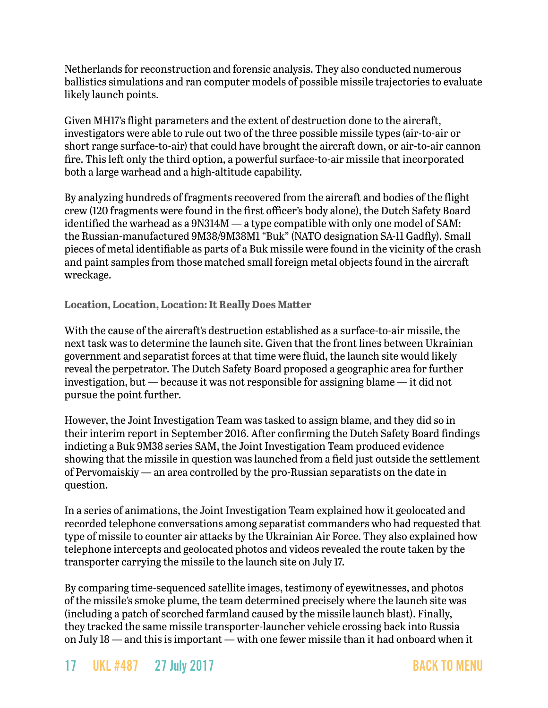Netherlands for reconstruction and forensic analysis. They also conducted numerous ballistics simulations and ran computer models of possible missile trajectories to evaluate likely launch points.

Given MH17's flight parameters and the extent of destruction done to the aircraft, investigators were able to rule out two of the three possible missile types (air-to-air or short range surface-to-air) that could have brought the aircraft down, or air-to-air cannon fire. This left only the third option, a powerful surface-to-air missile that incorporated both a large warhead and a high-altitude capability.

By analyzing hundreds of fragments recovered from the aircraft and bodies of the flight crew (120 fragments were found in the first officer's body alone), the Dutch Safety Board identified the warhead as a 9N314M — a type compatible with only one model of SAM: the Russian-manufactured 9M38/9M38M1 "Buk" (NATO designation SA-11 Gadfly). Small pieces of metal identifiable as parts of a Buk missile were found in the vicinity of the crash and paint samples from those matched small foreign metal objects found in the aircraft wreckage.

**Location, Location, Location: It Really Does Matter** 

With the cause of the aircraft's destruction established as a surface-to-air missile, the next task was to determine the launch site. Given that the front lines between Ukrainian government and separatist forces at that time were fluid, the launch site would likely reveal the perpetrator. The Dutch Safety Board proposed a geographic area for further investigation, but — because it was not responsible for assigning blame — it did not pursue the point further.

However, the Joint Investigation Team was tasked to assign blame, and they did so in their interim report in September 2016. After confirming the Dutch Safety Board findings indicting a Buk 9M38 series SAM, the Joint Investigation Team produced evidence showing that the missile in question was launched from a field just outside the settlement of Pervomaiskiy — an area controlled by the pro-Russian separatists on the date in question.

In a series of animations, the Joint Investigation Team explained how it geolocated and recorded telephone conversations among separatist commanders who had requested that type of missile to counter air attacks by the Ukrainian Air Force. They also explained how telephone intercepts and geolocated photos and videos revealed the route taken by the transporter carrying the missile to the launch site on July 17.

By comparing time-sequenced satellite images, testimony of eyewitnesses, and photos of the missile's smoke plume, the team determined precisely where the launch site was (including a patch of scorched farmland caused by the missile launch blast). Finally, they tracked the same missile transporter-launcher vehicle crossing back into Russia on July 18 — and this is important — with one fewer missile than it had onboard when it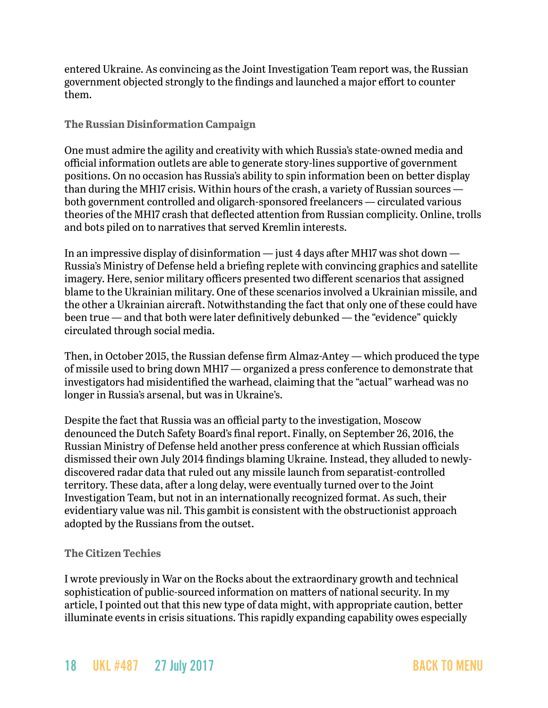entered Ukraine. As convincing as the Joint Investigation Team report was, the Russian government objected strongly to the findings and launched a major effort to counter them.

## **The Russian Disinformation Campaign**

One must admire the agility and creativity with which Russia's state-owned media and official information outlets are able to generate story-lines supportive of government positions. On no occasion has Russia's ability to spin information been on better display than during the MH17 crisis. Within hours of the crash, a variety of Russian sources both government controlled and oligarch-sponsored freelancers — circulated various theories of the MH17 crash that deflected attention from Russian complicity. Online, trolls and bots piled on to narratives that served Kremlin interests.

In an impressive display of disinformation — just 4 days after MH17 was shot down — Russia's Ministry of Defense held a briefing replete with convincing graphics and satellite imagery. Here, senior military officers presented two different scenarios that assigned blame to the Ukrainian military. One of these scenarios involved a Ukrainian missile, and the other a Ukrainian aircraft. Notwithstanding the fact that only one of these could have been true — and that both were later definitively debunked — the "evidence" quickly circulated through social media.

Then, in October 2015, the Russian defense firm Almaz-Antey — which produced the type of missile used to bring down MH17 — organized a press conference to demonstrate that investigators had misidentified the warhead, claiming that the "actual" warhead was no longer in Russia's arsenal, but was in Ukraine's.

Despite the fact that Russia was an official party to the investigation, Moscow denounced the Dutch Safety Board's final report. Finally, on September 26, 2016, the Russian Ministry of Defense held another press conference at which Russian officials dismissed their own July 2014 findings blaming Ukraine. Instead, they alluded to newlydiscovered radar data that ruled out any missile launch from separatist-controlled territory. These data, after a long delay, were eventually turned over to the Joint Investigation Team, but not in an internationally recognized format. As such, their evidentiary value was nil. This gambit is consistent with the obstructionist approach adopted by the Russians from the outset.

### **The Citizen Techies**

I wrote previously in War on the Rocks about the extraordinary growth and technical sophistication of public-sourced information on matters of national security. In my article, I pointed out that this new type of data might, with appropriate caution, better illuminate events in crisis situations. This rapidly expanding capability owes especially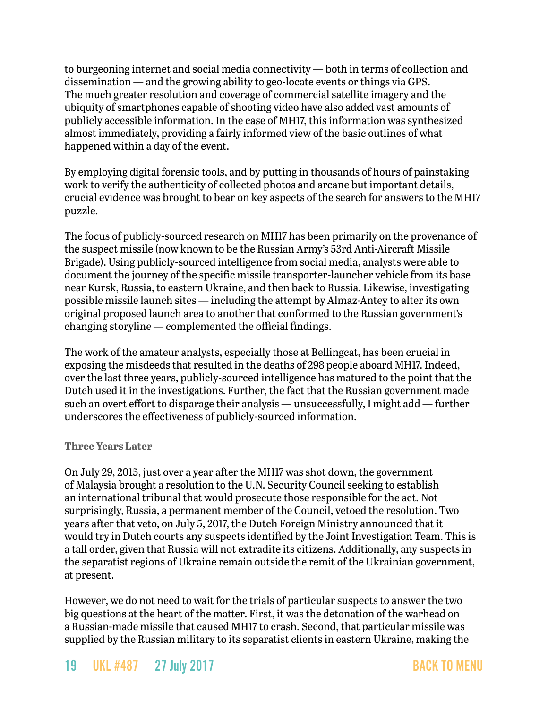to burgeoning internet and social media connectivity — both in terms of collection and dissemination — and the growing ability to geo-locate events or things via GPS. The much greater resolution and coverage of commercial satellite imagery and the ubiquity of smartphones capable of shooting video have also added vast amounts of publicly accessible information. In the case of MH17, this information was synthesized almost immediately, providing a fairly informed view of the basic outlines of what happened within a day of the event.

By employing digital forensic tools, and by putting in thousands of hours of painstaking work to verify the authenticity of collected photos and arcane but important details, crucial evidence was brought to bear on key aspects of the search for answers to the MH17 puzzle.

The focus of publicly-sourced research on MH17 has been primarily on the provenance of the suspect missile (now known to be the Russian Army's 53rd Anti-Aircraft Missile Brigade). Using publicly-sourced intelligence from social media, analysts were able to document the journey of the specific missile transporter-launcher vehicle from its base near Kursk, Russia, to eastern Ukraine, and then back to Russia. Likewise, investigating possible missile launch sites — including the attempt by Almaz-Antey to alter its own original proposed launch area to another that conformed to the Russian government's changing storyline — complemented the official findings.

The work of the amateur analysts, especially those at Bellingcat, has been crucial in exposing the misdeeds that resulted in the deaths of 298 people aboard MH17. Indeed, over the last three years, publicly-sourced intelligence has matured to the point that the Dutch used it in the investigations. Further, the fact that the Russian government made such an overt effort to disparage their analysis — unsuccessfully, I might add — further underscores the effectiveness of publicly-sourced information.

### **Three Years Later**

On July 29, 2015, just over a year after the MH17 was shot down, the government of Malaysia brought a resolution to the U.N. Security Council seeking to establish an international tribunal that would prosecute those responsible for the act. Not surprisingly, Russia, a permanent member of the Council, vetoed the resolution. Two years after that veto, on July 5, 2017, the Dutch Foreign Ministry announced that it would try in Dutch courts any suspects identified by the Joint Investigation Team. This is a tall order, given that Russia will not extradite its citizens. Additionally, any suspects in the separatist regions of Ukraine remain outside the remit of the Ukrainian government, at present.

However, we do not need to wait for the trials of particular suspects to answer the two big questions at the heart of the matter. First, it was the detonation of the warhead on a Russian-made missile that caused MH17 to crash. Second, that particular missile was supplied by the Russian military to its separatist clients in eastern Ukraine, making the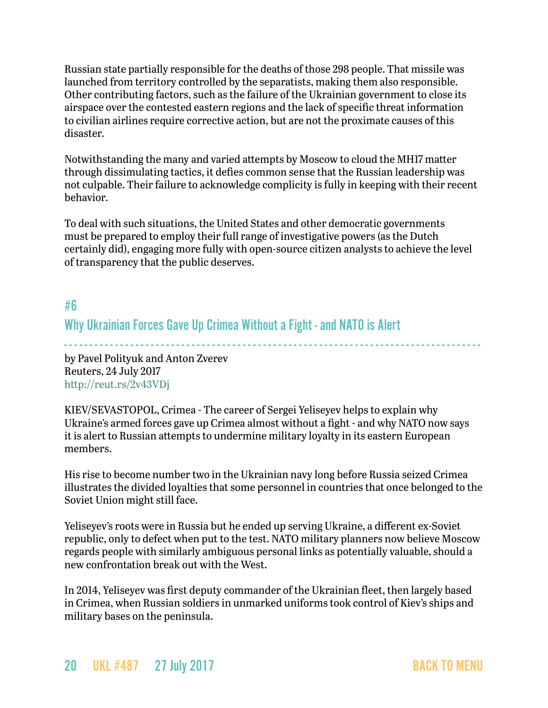Russian state partially responsible for the deaths of those 298 people. That missile was launched from territory controlled by the separatists, making them also responsible. Other contributing factors, such as the failure of the Ukrainian government to close its airspace over the contested eastern regions and the lack of specific threat information to civilian airlines require corrective action, but are not the proximate causes of this disaster.

Notwithstanding the many and varied attempts by Moscow to cloud the MH17 matter through dissimulating tactics, it defies common sense that the Russian leadership was not culpable. Their failure to acknowledge complicity is fully in keeping with their recent behavior.

To deal with such situations, the United States and other democratic governments must be prepared to employ their full range of investigative powers (as the Dutch certainly did), engaging more fully with open-source citizen analysts to achieve the level of transparency that the public deserves.

# <span id="page-19-0"></span>#6 Why Ukrainian Forces Gave Up Crimea Without a Fight - and NATO is Alert

- - - - - - - - - - - - - - - - - - - - - - - - - - - - - - - - - - - - - - - - - - - - - - - - - - - - - - - - - - - - - - - - - - - - - - - - - - - - - - - - - by Pavel Polityuk and Anton Zverev Reuters, 24 July 2017 <http://reut.rs/2v43VDj>

KIEV/SEVASTOPOL, Crimea - The career of Sergei Yeliseyev helps to explain why Ukraine's armed forces gave up Crimea almost without a fight - and why NATO now says it is alert to Russian attempts to undermine military loyalty in its eastern European members.

His rise to become number two in the Ukrainian navy long before Russia seized Crimea illustrates the divided loyalties that some personnel in countries that once belonged to the Soviet Union might still face.

Yeliseyev's roots were in Russia but he ended up serving Ukraine, a different ex-Soviet republic, only to defect when put to the test. NATO military planners now believe Moscow regards people with similarly ambiguous personal links as potentially valuable, should a new confrontation break out with the West.

In 2014, Yeliseyev was first deputy commander of the Ukrainian fleet, then largely based in Crimea, when Russian soldiers in unmarked uniforms took control of Kiev's ships and military bases on the peninsula.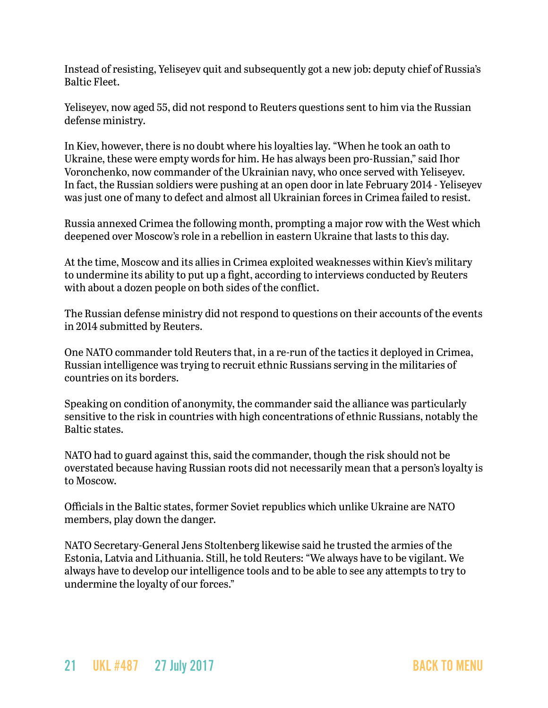Instead of resisting, Yeliseyev quit and subsequently got a new job: deputy chief of Russia's Baltic Fleet.

Yeliseyev, now aged 55, did not respond to Reuters questions sent to him via the Russian defense ministry.

In Kiev, however, there is no doubt where his loyalties lay. "When he took an oath to Ukraine, these were empty words for him. He has always been pro-Russian," said Ihor Voronchenko, now commander of the Ukrainian navy, who once served with Yeliseyev. In fact, the Russian soldiers were pushing at an open door in late February 2014 - Yeliseyev was just one of many to defect and almost all Ukrainian forces in Crimea failed to resist.

Russia annexed Crimea the following month, prompting a major row with the West which deepened over Moscow's role in a rebellion in eastern Ukraine that lasts to this day.

At the time, Moscow and its allies in Crimea exploited weaknesses within Kiev's military to undermine its ability to put up a fight, according to interviews conducted by Reuters with about a dozen people on both sides of the conflict.

The Russian defense ministry did not respond to questions on their accounts of the events in 2014 submitted by Reuters.

One NATO commander told Reuters that, in a re-run of the tactics it deployed in Crimea, Russian intelligence was trying to recruit ethnic Russians serving in the militaries of countries on its borders.

Speaking on condition of anonymity, the commander said the alliance was particularly sensitive to the risk in countries with high concentrations of ethnic Russians, notably the Baltic states.

NATO had to guard against this, said the commander, though the risk should not be overstated because having Russian roots did not necessarily mean that a person's loyalty is to Moscow.

Officials in the Baltic states, former Soviet republics which unlike Ukraine are NATO members, play down the danger.

NATO Secretary-General Jens Stoltenberg likewise said he trusted the armies of the Estonia, Latvia and Lithuania. Still, he told Reuters: "We always have to be vigilant. We always have to develop our intelligence tools and to be able to see any attempts to try to undermine the loyalty of our forces."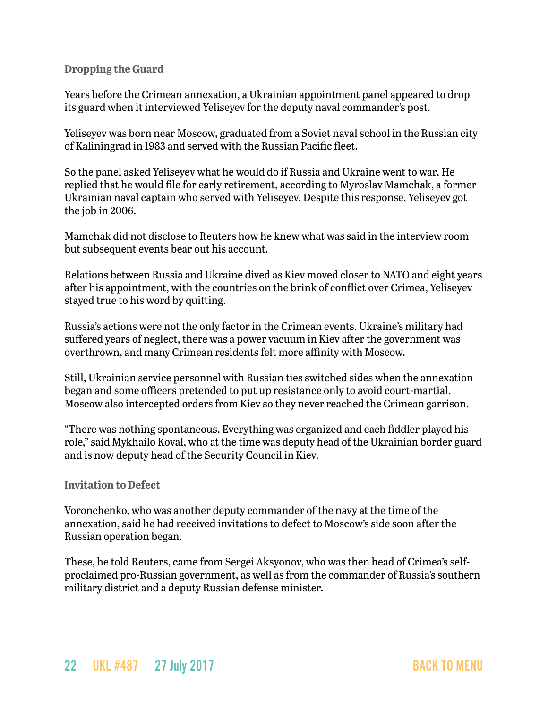### **Dropping the Guard**

Years before the Crimean annexation, a Ukrainian appointment panel appeared to drop its guard when it interviewed Yeliseyev for the deputy naval commander's post.

Yeliseyev was born near Moscow, graduated from a Soviet naval school in the Russian city of Kaliningrad in 1983 and served with the Russian Pacific fleet.

So the panel asked Yeliseyev what he would do if Russia and Ukraine went to war. He replied that he would file for early retirement, according to Myroslav Mamchak, a former Ukrainian naval captain who served with Yeliseyev. Despite this response, Yeliseyev got the job in 2006.

Mamchak did not disclose to Reuters how he knew what was said in the interview room but subsequent events bear out his account.

Relations between Russia and Ukraine dived as Kiev moved closer to NATO and eight years after his appointment, with the countries on the brink of conflict over Crimea, Yeliseyev stayed true to his word by quitting.

Russia's actions were not the only factor in the Crimean events. Ukraine's military had suffered years of neglect, there was a power vacuum in Kiev after the government was overthrown, and many Crimean residents felt more affinity with Moscow.

Still, Ukrainian service personnel with Russian ties switched sides when the annexation began and some officers pretended to put up resistance only to avoid court-martial. Moscow also intercepted orders from Kiev so they never reached the Crimean garrison.

"There was nothing spontaneous. Everything was organized and each fiddler played his role," said Mykhailo Koval, who at the time was deputy head of the Ukrainian border guard and is now deputy head of the Security Council in Kiev.

**Invitation to Defect** 

Voronchenko, who was another deputy commander of the navy at the time of the annexation, said he had received invitations to defect to Moscow's side soon after the Russian operation began.

These, he told Reuters, came from Sergei Aksyonov, who was then head of Crimea's selfproclaimed pro-Russian government, as well as from the commander of Russia's southern military district and a deputy Russian defense minister.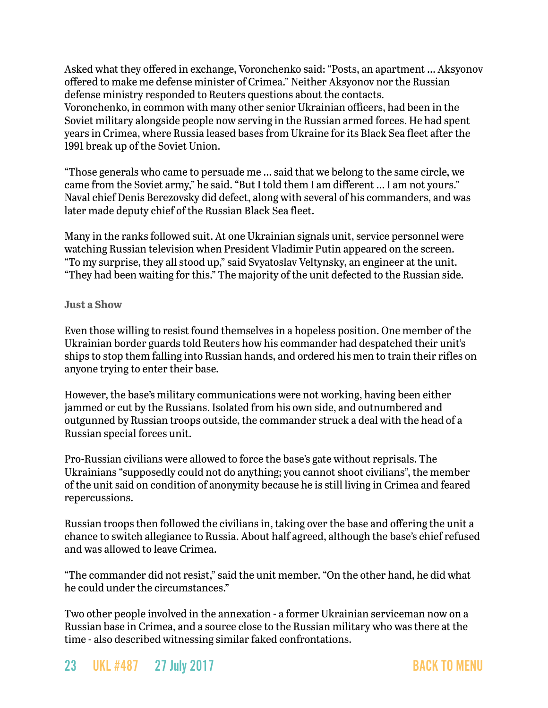Asked what they offered in exchange, Voronchenko said: "Posts, an apartment ... Aksyonov offered to make me defense minister of Crimea." Neither Aksyonov nor the Russian defense ministry responded to Reuters questions about the contacts. Voronchenko, in common with many other senior Ukrainian officers, had been in the Soviet military alongside people now serving in the Russian armed forces. He had spent years in Crimea, where Russia leased bases from Ukraine for its Black Sea fleet after the 1991 break up of the Soviet Union.

"Those generals who came to persuade me ... said that we belong to the same circle, we came from the Soviet army," he said. "But I told them I am different ... I am not yours." Naval chief Denis Berezovsky did defect, along with several of his commanders, and was later made deputy chief of the Russian Black Sea fleet.

Many in the ranks followed suit. At one Ukrainian signals unit, service personnel were watching Russian television when President Vladimir Putin appeared on the screen. "To my surprise, they all stood up," said Svyatoslav Veltynsky, an engineer at the unit. "They had been waiting for this." The majority of the unit defected to the Russian side.

#### **Just a Show**

Even those willing to resist found themselves in a hopeless position. One member of the Ukrainian border guards told Reuters how his commander had despatched their unit's ships to stop them falling into Russian hands, and ordered his men to train their rifles on anyone trying to enter their base.

However, the base's military communications were not working, having been either jammed or cut by the Russians. Isolated from his own side, and outnumbered and outgunned by Russian troops outside, the commander struck a deal with the head of a Russian special forces unit.

Pro-Russian civilians were allowed to force the base's gate without reprisals. The Ukrainians "supposedly could not do anything; you cannot shoot civilians", the member of the unit said on condition of anonymity because he is still living in Crimea and feared repercussions.

Russian troops then followed the civilians in, taking over the base and offering the unit a chance to switch allegiance to Russia. About half agreed, although the base's chief refused and was allowed to leave Crimea.

"The commander did not resist," said the unit member. "On the other hand, he did what he could under the circumstances."

Two other people involved in the annexation - a former Ukrainian serviceman now on a Russian base in Crimea, and a source close to the Russian military who was there at the time - also described witnessing similar faked confrontations.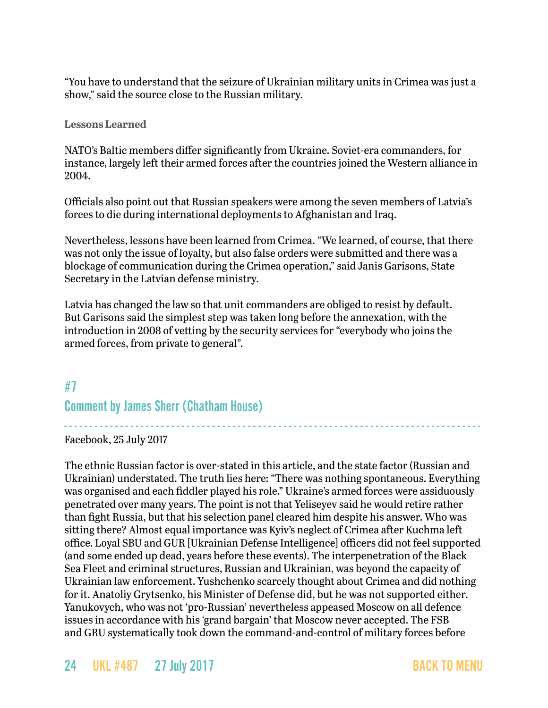"You have to understand that the seizure of Ukrainian military units in Crimea was just a show," said the source close to the Russian military.

#### **Lessons Learned**

NATO's Baltic members differ significantly from Ukraine. Soviet-era commanders, for instance, largely left their armed forces after the countries joined the Western alliance in 2004.

Officials also point out that Russian speakers were among the seven members of Latvia's forces to die during international deployments to Afghanistan and Iraq.

Nevertheless, lessons have been learned from Crimea. "We learned, of course, that there was not only the issue of loyalty, but also false orders were submitted and there was a blockage of communication during the Crimea operation," said Janis Garisons, State Secretary in the Latvian defense ministry.

Latvia has changed the law so that unit commanders are obliged to resist by default. But Garisons said the simplest step was taken long before the annexation, with the introduction in 2008 of vetting by the security services for "everybody who joins the armed forces, from private to general".

## <span id="page-23-0"></span>#7 Comment by James Sherr (Chatham House)

- - - - - - - - - - - - - - - - - - - - - - - - - - - - - - - - - - - - - - - - - - - - - - - - - - - - - - - - - - - - - - - - - - - - - - - - - - - - - - - - - - Facebook, 25 July 2017

The ethnic Russian factor is over-stated in this article, and the state factor (Russian and Ukrainian) understated. The truth lies here: "There was nothing spontaneous. Everything was organised and each fiddler played his role." Ukraine's armed forces were assiduously penetrated over many years. The point is not that Yeliseyev said he would retire rather than fight Russia, but that his selection panel cleared him despite his answer. Who was sitting there? Almost equal importance was Kyiv's neglect of Crimea after Kuchma left office. Loyal SBU and GUR [Ukrainian Defense Intelligence] officers did not feel supported (and some ended up dead, years before these events). The interpenetration of the Black Sea Fleet and criminal structures, Russian and Ukrainian, was beyond the capacity of Ukrainian law enforcement. Yushchenko scarcely thought about Crimea and did nothing for it. Anatoliy Grytsenko, his Minister of Defense did, but he was not supported either. Yanukovych, who was not 'pro-Russian' nevertheless appeased Moscow on all defence issues in accordance with his 'grand bargain' that Moscow never accepted. The FSB and GRU systematically took down the command-and-control of military forces before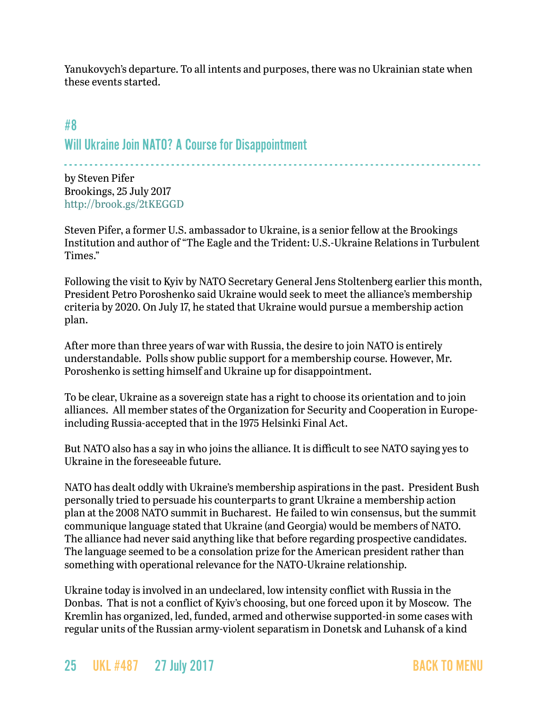Yanukovych's departure. To all intents and purposes, there was no Ukrainian state when these events started.

<span id="page-24-0"></span>#8 Will Ukraine Join NATO? A Course for Disappointment

- - - - - - - - - - - - - - - - - - - - - - - - - - - - - - - - - - - - - - - - - - - - - - - - - - - - - - - - - - - - - - - - - - - - - - - - - - - - - - - - - -

by Steven Pifer Brookings, 25 July 2017 <http://brook.gs/2tKEGGD>

Steven Pifer, a former U.S. ambassador to Ukraine, is a senior fellow at the Brookings Institution and author of "The Eagle and the Trident: U.S.-Ukraine Relations in Turbulent Times."

Following the visit to Kyiv by NATO Secretary General Jens Stoltenberg earlier this month, President Petro Poroshenko said Ukraine would seek to meet the alliance's membership criteria by 2020. On July 17, he stated that Ukraine would pursue a membership action plan.

After more than three years of war with Russia, the desire to join NATO is entirely understandable. Polls show public support for a membership course. However, Mr. Poroshenko is setting himself and Ukraine up for disappointment.

To be clear, Ukraine as a sovereign state has a right to choose its orientation and to join alliances. All member states of the Organization for Security and Cooperation in Europeincluding Russia-accepted that in the 1975 Helsinki Final Act.

But NATO also has a say in who joins the alliance. It is difficult to see NATO saying yes to Ukraine in the foreseeable future.

NATO has dealt oddly with Ukraine's membership aspirations in the past. President Bush personally tried to persuade his counterparts to grant Ukraine a membership action plan at the 2008 NATO summit in Bucharest. He failed to win consensus, but the summit communique language stated that Ukraine (and Georgia) would be members of NATO. The alliance had never said anything like that before regarding prospective candidates. The language seemed to be a consolation prize for the American president rather than something with operational relevance for the NATO-Ukraine relationship.

Ukraine today is involved in an undeclared, low intensity conflict with Russia in the Donbas. That is not a conflict of Kyiv's choosing, but one forced upon it by Moscow. The Kremlin has organized, led, funded, armed and otherwise supported-in some cases with regular units of the Russian army-violent separatism in Donetsk and Luhansk of a kind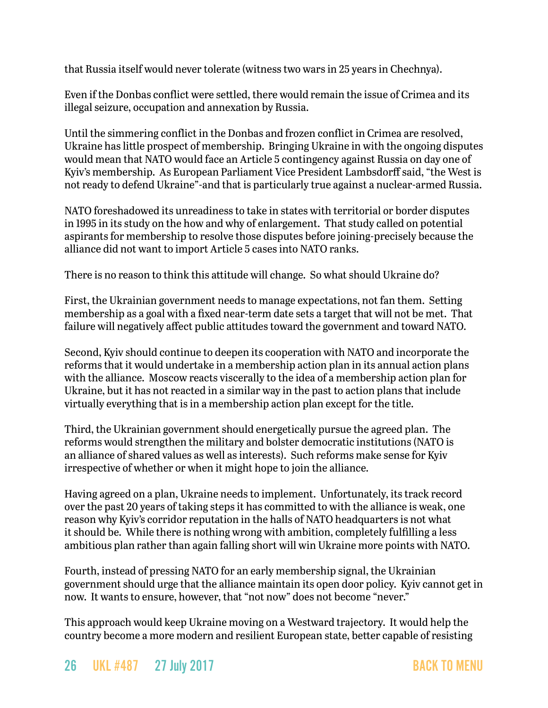that Russia itself would never tolerate (witness two wars in 25 years in Chechnya).

Even if the Donbas conflict were settled, there would remain the issue of Crimea and its illegal seizure, occupation and annexation by Russia.

Until the simmering conflict in the Donbas and frozen conflict in Crimea are resolved, Ukraine has little prospect of membership. Bringing Ukraine in with the ongoing disputes would mean that NATO would face an Article 5 contingency against Russia on day one of Kyiv's membership. As European Parliament Vice President Lambsdorff said, "the West is not ready to defend Ukraine"-and that is particularly true against a nuclear-armed Russia.

NATO foreshadowed its unreadiness to take in states with territorial or border disputes in 1995 in its study on the how and why of enlargement. That study called on potential aspirants for membership to resolve those disputes before joining-precisely because the alliance did not want to import Article 5 cases into NATO ranks.

There is no reason to think this attitude will change. So what should Ukraine do?

First, the Ukrainian government needs to manage expectations, not fan them. Setting membership as a goal with a fixed near-term date sets a target that will not be met. That failure will negatively affect public attitudes toward the government and toward NATO.

Second, Kyiv should continue to deepen its cooperation with NATO and incorporate the reforms that it would undertake in a membership action plan in its annual action plans with the alliance. Moscow reacts viscerally to the idea of a membership action plan for Ukraine, but it has not reacted in a similar way in the past to action plans that include virtually everything that is in a membership action plan except for the title.

Third, the Ukrainian government should energetically pursue the agreed plan. The reforms would strengthen the military and bolster democratic institutions (NATO is an alliance of shared values as well as interests). Such reforms make sense for Kyiv irrespective of whether or when it might hope to join the alliance.

Having agreed on a plan, Ukraine needs to implement. Unfortunately, its track record over the past 20 years of taking steps it has committed to with the alliance is weak, one reason why Kyiv's corridor reputation in the halls of NATO headquarters is not what it should be. While there is nothing wrong with ambition, completely fulfilling a less ambitious plan rather than again falling short will win Ukraine more points with NATO.

Fourth, instead of pressing NATO for an early membership signal, the Ukrainian government should urge that the alliance maintain its open door policy. Kyiv cannot get in now. It wants to ensure, however, that "not now" does not become "never."

This approach would keep Ukraine moving on a Westward trajectory. It would help the country become a more modern and resilient European state, better capable of resisting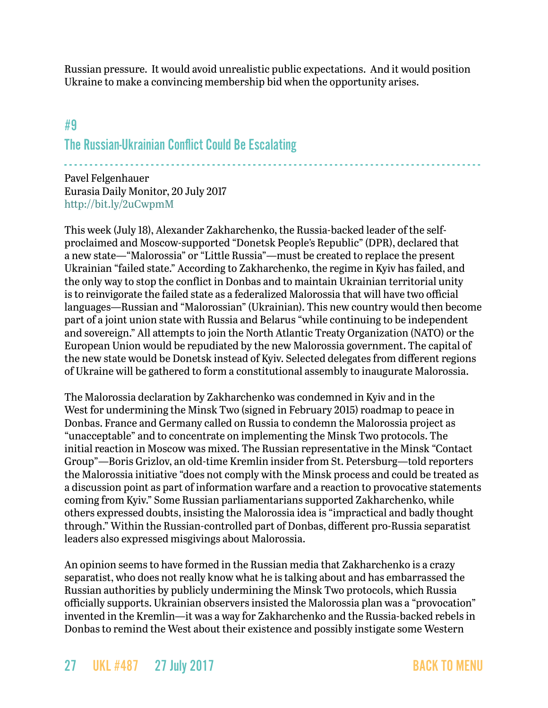Russian pressure. It would avoid unrealistic public expectations. And it would position Ukraine to make a convincing membership bid when the opportunity arises.

## <span id="page-26-0"></span>#9 The Russian-Ukrainian Conflict Could Be Escalating

- - - - - - - - - - - - - - - - - - - - - - - - - - - - - - - - - - - - - - - - - - - - - - - - - - - - - - - - - - - - - - - - - - - - - - - - - - - - - - - - - - Pavel Felgenhauer Eurasia Daily Monitor, 20 July 2017 <http://bit.ly/2uCwpmM>

This week (July 18), Alexander Zakharchenko, the Russia-backed leader of the selfproclaimed and Moscow-supported "Donetsk People's Republic" (DPR), declared that a new state—"Malorossia" or "Little Russia"—must be created to replace the present Ukrainian "failed state." According to Zakharchenko, the regime in Kyiv has failed, and the only way to stop the conflict in Donbas and to maintain Ukrainian territorial unity is to reinvigorate the failed state as a federalized Malorossia that will have two official languages—Russian and "Malorossian" (Ukrainian). This new country would then become part of a joint union state with Russia and Belarus "while continuing to be independent and sovereign." All attempts to join the North Atlantic Treaty Organization (NATO) or the European Union would be repudiated by the new Malorossia government. The capital of the new state would be Donetsk instead of Kyiv. Selected delegates from different regions of Ukraine will be gathered to form a constitutional assembly to inaugurate Malorossia.

The Malorossia declaration by Zakharchenko was condemned in Kyiv and in the West for undermining the Minsk Two (signed in February 2015) roadmap to peace in Donbas. France and Germany called on Russia to condemn the Malorossia project as "unacceptable" and to concentrate on implementing the Minsk Two protocols. The initial reaction in Moscow was mixed. The Russian representative in the Minsk "Contact Group"—Boris Grizlov, an old-time Kremlin insider from St. Petersburg—told reporters the Malorossia initiative "does not comply with the Minsk process and could be treated as a discussion point as part of information warfare and a reaction to provocative statements coming from Kyiv." Some Russian parliamentarians supported Zakharchenko, while others expressed doubts, insisting the Malorossia idea is "impractical and badly thought through." Within the Russian-controlled part of Donbas, different pro-Russia separatist leaders also expressed misgivings about Malorossia.

An opinion seems to have formed in the Russian media that Zakharchenko is a crazy separatist, who does not really know what he is talking about and has embarrassed the Russian authorities by publicly undermining the Minsk Two protocols, which Russia officially supports. Ukrainian observers insisted the Malorossia plan was a "provocation" invented in the Kremlin—it was a way for Zakharchenko and the Russia-backed rebels in Donbas to remind the West about their existence and possibly instigate some Western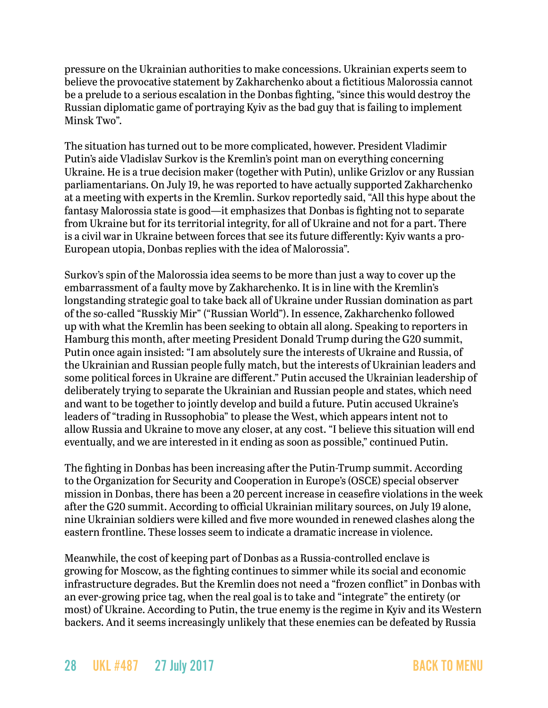pressure on the Ukrainian authorities to make concessions. Ukrainian experts seem to believe the provocative statement by Zakharchenko about a fictitious Malorossia cannot be a prelude to a serious escalation in the Donbas fighting, "since this would destroy the Russian diplomatic game of portraying Kyiv as the bad guy that is failing to implement Minsk Two".

The situation has turned out to be more complicated, however. President Vladimir Putin's aide Vladislav Surkov is the Kremlin's point man on everything concerning Ukraine. He is a true decision maker (together with Putin), unlike Grizlov or any Russian parliamentarians. On July 19, he was reported to have actually supported Zakharchenko at a meeting with experts in the Kremlin. Surkov reportedly said, "All this hype about the fantasy Malorossia state is good—it emphasizes that Donbas is fighting not to separate from Ukraine but for its territorial integrity, for all of Ukraine and not for a part. There is a civil war in Ukraine between forces that see its future differently: Kyiv wants a pro-European utopia, Donbas replies with the idea of Malorossia".

Surkov's spin of the Malorossia idea seems to be more than just a way to cover up the embarrassment of a faulty move by Zakharchenko. It is in line with the Kremlin's longstanding strategic goal to take back all of Ukraine under Russian domination as part of the so-called "Russkiy Mir" ("Russian World"). In essence, Zakharchenko followed up with what the Kremlin has been seeking to obtain all along. Speaking to reporters in Hamburg this month, after meeting President Donald Trump during the G20 summit, Putin once again insisted: "I am absolutely sure the interests of Ukraine and Russia, of the Ukrainian and Russian people fully match, but the interests of Ukrainian leaders and some political forces in Ukraine are different." Putin accused the Ukrainian leadership of deliberately trying to separate the Ukrainian and Russian people and states, which need and want to be together to jointly develop and build a future. Putin accused Ukraine's leaders of "trading in Russophobia" to please the West, which appears intent not to allow Russia and Ukraine to move any closer, at any cost. "I believe this situation will end eventually, and we are interested in it ending as soon as possible," continued Putin.

The fighting in Donbas has been increasing after the Putin-Trump summit. According to the Organization for Security and Cooperation in Europe's (OSCE) special observer mission in Donbas, there has been a 20 percent increase in ceasefire violations in the week after the G20 summit. According to official Ukrainian military sources, on July 19 alone, nine Ukrainian soldiers were killed and five more wounded in renewed clashes along the eastern frontline. These losses seem to indicate a dramatic increase in violence.

Meanwhile, the cost of keeping part of Donbas as a Russia-controlled enclave is growing for Moscow, as the fighting continues to simmer while its social and economic infrastructure degrades. But the Kremlin does not need a "frozen conflict" in Donbas with an ever-growing price tag, when the real goal is to take and "integrate" the entirety (or most) of Ukraine. According to Putin, the true enemy is the regime in Kyiv and its Western backers. And it seems increasingly unlikely that these enemies can be defeated by Russia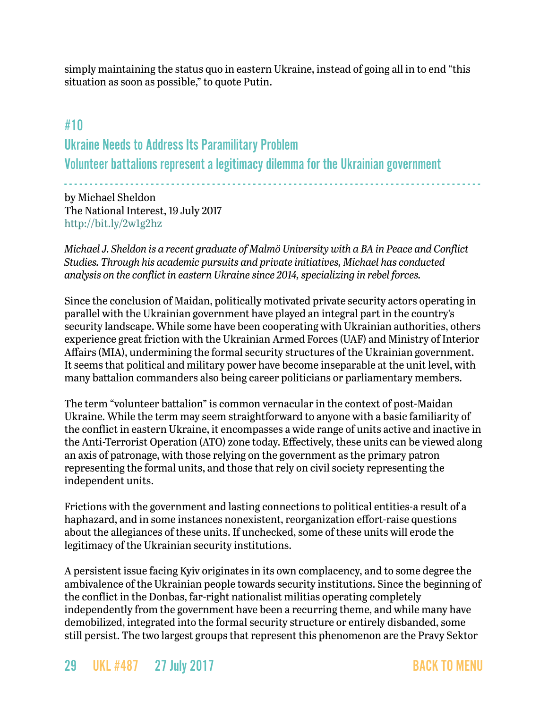simply maintaining the status quo in eastern Ukraine, instead of going all in to end "this situation as soon as possible," to quote Putin.

# <span id="page-28-0"></span>#10 Ukraine Needs to Address Its Paramilitary Problem Volunteer battalions represent a legitimacy dilemma for the Ukrainian government

- - - - - - - - - - - - - - - - - - - - - - - - - - - - - - - - - - - - - - - - - - - - - - - - - - - - - - - - - - - - - - - - - - - - - - - - - - - - - - - - - by Michael Sheldon The National Interest, 19 July 2017 <http://bit.ly/2w1g2hz>

*Michael J. Sheldon is a recent graduate of Malmö University with a BA in Peace and Conflict Studies. Through his academic pursuits and private initiatives, Michael has conducted analysis on the conflict in eastern Ukraine since 2014, specializing in rebel forces.*

Since the conclusion of Maidan, politically motivated private security actors operating in parallel with the Ukrainian government have played an integral part in the country's security landscape. While some have been cooperating with Ukrainian authorities, others experience great friction with the Ukrainian Armed Forces (UAF) and Ministry of Interior Affairs (MIA), undermining the formal security structures of the Ukrainian government. It seems that political and military power have become inseparable at the unit level, with many battalion commanders also being career politicians or parliamentary members.

The term "volunteer battalion" is common vernacular in the context of post-Maidan Ukraine. While the term may seem straightforward to anyone with a basic familiarity of the conflict in eastern Ukraine, it encompasses a wide range of units active and inactive in the Anti-Terrorist Operation (ATO) zone today. Effectively, these units can be viewed along an axis of patronage, with those relying on the government as the primary patron representing the formal units, and those that rely on civil society representing the independent units.

Frictions with the government and lasting connections to political entities-a result of a haphazard, and in some instances nonexistent, reorganization effort-raise questions about the allegiances of these units. If unchecked, some of these units will erode the legitimacy of the Ukrainian security institutions.

A persistent issue facing Kyiv originates in its own complacency, and to some degree the ambivalence of the Ukrainian people towards security institutions. Since the beginning of the conflict in the Donbas, far-right nationalist militias operating completely independently from the government have been a recurring theme, and while many have demobilized, integrated into the formal security structure or entirely disbanded, some still persist. The two largest groups that represent this phenomenon are the Pravy Sektor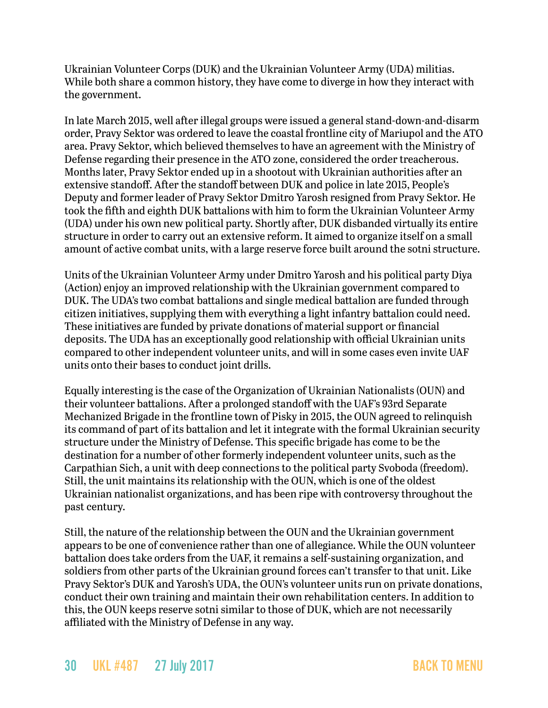Ukrainian Volunteer Corps (DUK) and the Ukrainian Volunteer Army (UDA) militias. While both share a common history, they have come to diverge in how they interact with the government.

In late March 2015, well after illegal groups were issued a general stand-down-and-disarm order, Pravy Sektor was ordered to leave the coastal frontline city of Mariupol and the ATO area. Pravy Sektor, which believed themselves to have an agreement with the Ministry of Defense regarding their presence in the ATO zone, considered the order treacherous. Months later, Pravy Sektor ended up in a shootout with Ukrainian authorities after an extensive standoff. After the standoff between DUK and police in late 2015, People's Deputy and former leader of Pravy Sektor Dmitro Yarosh resigned from Pravy Sektor. He took the fifth and eighth DUK battalions with him to form the Ukrainian Volunteer Army (UDA) under his own new political party. Shortly after, DUK disbanded virtually its entire structure in order to carry out an extensive reform. It aimed to organize itself on a small amount of active combat units, with a large reserve force built around the sotni structure.

Units of the Ukrainian Volunteer Army under Dmitro Yarosh and his political party Diya (Action) enjoy an improved relationship with the Ukrainian government compared to DUK. The UDA's two combat battalions and single medical battalion are funded through citizen initiatives, supplying them with everything a light infantry battalion could need. These initiatives are funded by private donations of material support or financial deposits. The UDA has an exceptionally good relationship with official Ukrainian units compared to other independent volunteer units, and will in some cases even invite UAF units onto their bases to conduct joint drills.

Equally interesting is the case of the Organization of Ukrainian Nationalists (OUN) and their volunteer battalions. After a prolonged standoff with the UAF's 93rd Separate Mechanized Brigade in the frontline town of Pisky in 2015, the OUN agreed to relinquish its command of part of its battalion and let it integrate with the formal Ukrainian security structure under the Ministry of Defense. This specific brigade has come to be the destination for a number of other formerly independent volunteer units, such as the Carpathian Sich, a unit with deep connections to the political party Svoboda (freedom). Still, the unit maintains its relationship with the OUN, which is one of the oldest Ukrainian nationalist organizations, and has been ripe with controversy throughout the past century.

Still, the nature of the relationship between the OUN and the Ukrainian government appears to be one of convenience rather than one of allegiance. While the OUN volunteer battalion does take orders from the UAF, it remains a self-sustaining organization, and soldiers from other parts of the Ukrainian ground forces can't transfer to that unit. Like Pravy Sektor's DUK and Yarosh's UDA, the OUN's volunteer units run on private donations, conduct their own training and maintain their own rehabilitation centers. In addition to this, the OUN keeps reserve sotni similar to those of DUK, which are not necessarily affiliated with the Ministry of Defense in any way.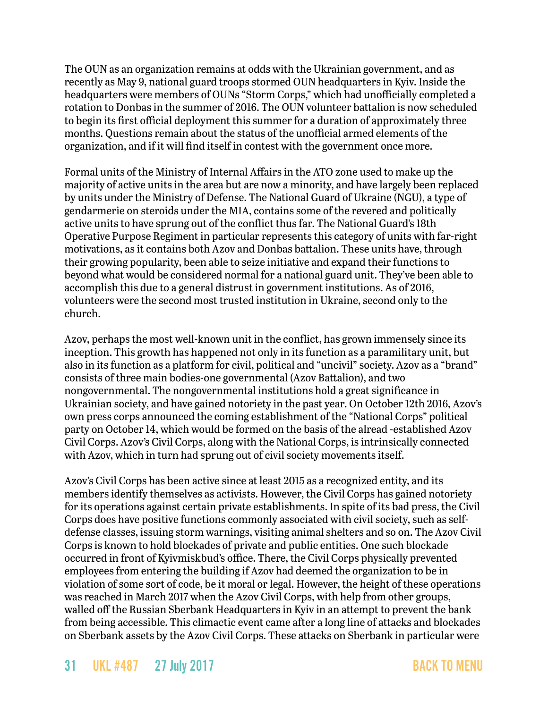The OUN as an organization remains at odds with the Ukrainian government, and as recently as May 9, national guard troops stormed OUN headquarters in Kyiv. Inside the headquarters were members of OUNs "Storm Corps," which had unofficially completed a rotation to Donbas in the summer of 2016. The OUN volunteer battalion is now scheduled to begin its first official deployment this summer for a duration of approximately three months. Questions remain about the status of the unofficial armed elements of the organization, and if it will find itself in contest with the government once more.

Formal units of the Ministry of Internal Affairs in the ATO zone used to make up the majority of active units in the area but are now a minority, and have largely been replaced by units under the Ministry of Defense. The National Guard of Ukraine (NGU), a type of gendarmerie on steroids under the MIA, contains some of the revered and politically active units to have sprung out of the conflict thus far. The National Guard's 18th Operative Purpose Regiment in particular represents this category of units with far-right motivations, as it contains both Azov and Donbas battalion. These units have, through their growing popularity, been able to seize initiative and expand their functions to beyond what would be considered normal for a national guard unit. They've been able to accomplish this due to a general distrust in government institutions. As of 2016, volunteers were the second most trusted institution in Ukraine, second only to the church.

Azov, perhaps the most well-known unit in the conflict, has grown immensely since its inception. This growth has happened not only in its function as a paramilitary unit, but also in its function as a platform for civil, political and "uncivil" society. Azov as a "brand" consists of three main bodies-one governmental (Azov Battalion), and two nongovernmental. The nongovernmental institutions hold a great significance in Ukrainian society, and have gained notoriety in the past year. On October 12th 2016, Azov's own press corps announced the coming establishment of the "National Corps" political party on October 14, which would be formed on the basis of the alread -established Azov Civil Corps. Azov's Civil Corps, along with the National Corps, is intrinsically connected with Azov, which in turn had sprung out of civil society movements itself.

Azov's Civil Corps has been active since at least 2015 as a recognized entity, and its members identify themselves as activists. However, the Civil Corps has gained notoriety for its operations against certain private establishments. In spite of its bad press, the Civil Corps does have positive functions commonly associated with civil society, such as selfdefense classes, issuing storm warnings, visiting animal shelters and so on. The Azov Civil Corps is known to hold blockades of private and public entities. One such blockade occurred in front of Kyivmiskbud's office. There, the Civil Corps physically prevented employees from entering the building if Azov had deemed the organization to be in violation of some sort of code, be it moral or legal. However, the height of these operations was reached in March 2017 when the Azov Civil Corps, with help from other groups, walled off the Russian Sberbank Headquarters in Kyiv in an attempt to prevent the bank from being accessible. This climactic event came after a long line of attacks and blockades on Sberbank assets by the Azov Civil Corps. These attacks on Sberbank in particular were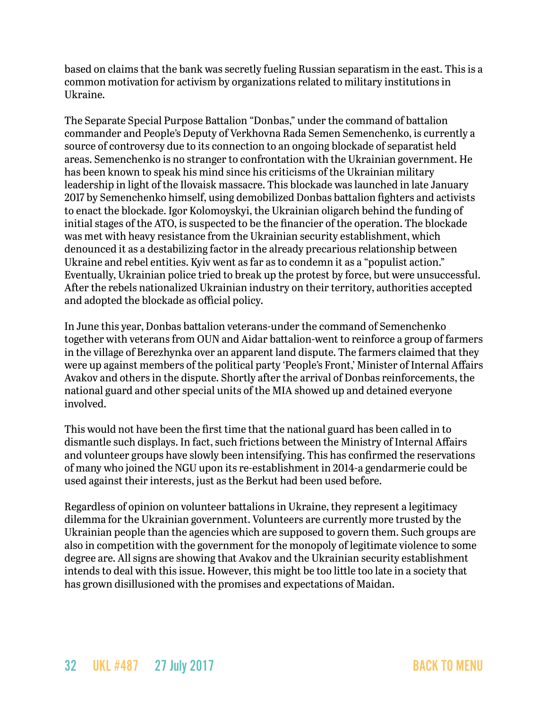based on claims that the bank was secretly fueling Russian separatism in the east. This is a common motivation for activism by organizations related to military institutions in Ukraine.

The Separate Special Purpose Battalion "Donbas," under the command of battalion commander and People's Deputy of Verkhovna Rada Semen Semenchenko, is currently a source of controversy due to its connection to an ongoing blockade of separatist held areas. Semenchenko is no stranger to confrontation with the Ukrainian government. He has been known to speak his mind since his criticisms of the Ukrainian military leadership in light of the Ilovaisk massacre. This blockade was launched in late January 2017 by Semenchenko himself, using demobilized Donbas battalion fighters and activists to enact the blockade. Igor Kolomoyskyi, the Ukrainian oligarch behind the funding of initial stages of the ATO, is suspected to be the financier of the operation. The blockade was met with heavy resistance from the Ukrainian security establishment, which denounced it as a destabilizing factor in the already precarious relationship between Ukraine and rebel entities. Kyiv went as far as to condemn it as a "populist action." Eventually, Ukrainian police tried to break up the protest by force, but were unsuccessful. After the rebels nationalized Ukrainian industry on their territory, authorities accepted and adopted the blockade as official policy.

In June this year, Donbas battalion veterans-under the command of Semenchenko together with veterans from OUN and Aidar battalion-went to reinforce a group of farmers in the village of Berezhynka over an apparent land dispute. The farmers claimed that they were up against members of the political party 'People's Front,' Minister of Internal Affairs Avakov and others in the dispute. Shortly after the arrival of Donbas reinforcements, the national guard and other special units of the MIA showed up and detained everyone involved.

This would not have been the first time that the national guard has been called in to dismantle such displays. In fact, such frictions between the Ministry of Internal Affairs and volunteer groups have slowly been intensifying. This has confirmed the reservations of many who joined the NGU upon its re-establishment in 2014-a gendarmerie could be used against their interests, just as the Berkut had been used before.

Regardless of opinion on volunteer battalions in Ukraine, they represent a legitimacy dilemma for the Ukrainian government. Volunteers are currently more trusted by the Ukrainian people than the agencies which are supposed to govern them. Such groups are also in competition with the government for the monopoly of legitimate violence to some degree are. All signs are showing that Avakov and the Ukrainian security establishment intends to deal with this issue. However, this might be too little too late in a society that has grown disillusioned with the promises and expectations of Maidan.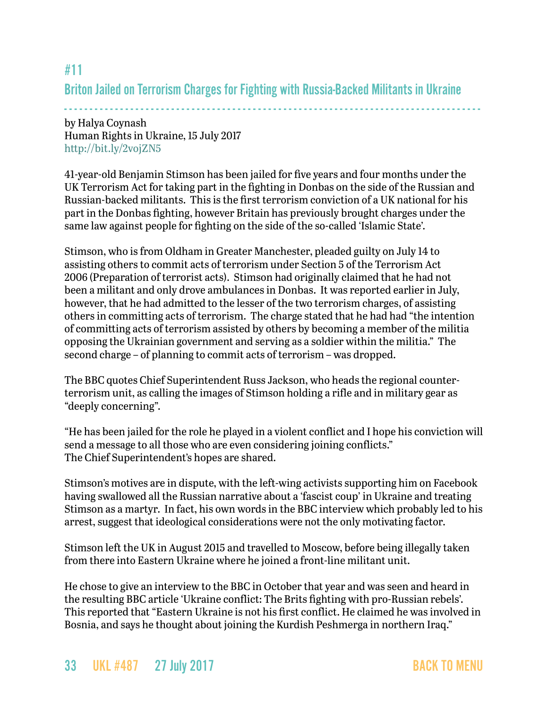## <span id="page-32-0"></span>#11 Briton Jailed on Terrorism Charges for Fighting with Russia-Backed Militants in Ukraine

- - - - - - - - - - - - - - - - - - - - - - - - - - - - - - - - - - - - - - - - - - - - - - - - - - - - - - - - - - - - - - - - - - - - - - - - - - - - - - - - - by Halya Coynash Human Rights in Ukraine, 15 July 2017 <http://bit.ly/2vojZN5>

41-year-old Benjamin Stimson has been jailed for five years and four months under the UK Terrorism Act for taking part in the fighting in Donbas on the side of the Russian and Russian-backed militants. This is the first terrorism conviction of a UK national for his part in the Donbas fighting, however Britain has previously brought charges under the same law against people for fighting on the side of the so-called 'Islamic State'.

Stimson, who is from Oldham in Greater Manchester, pleaded guilty on July 14 to assisting others to commit acts of terrorism under Section 5 of the Terrorism Act 2006 (Preparation of terrorist acts). Stimson had originally claimed that he had not been a militant and only drove ambulances in Donbas. It was reported earlier in July, however, that he had admitted to the lesser of the two terrorism charges, of assisting others in committing acts of terrorism. The charge stated that he had had "the intention of committing acts of terrorism assisted by others by becoming a member of the militia opposing the Ukrainian government and serving as a soldier within the militia." The second charge – of planning to commit acts of terrorism – was dropped.

The BBC quotes Chief Superintendent Russ Jackson, who heads the regional counterterrorism unit, as calling the images of Stimson holding a rifle and in military gear as "deeply concerning".

"He has been jailed for the role he played in a violent conflict and I hope his conviction will send a message to all those who are even considering joining conflicts." The Chief Superintendent's hopes are shared.

Stimson's motives are in dispute, with the left-wing activists supporting him on Facebook having swallowed all the Russian narrative about a 'fascist coup' in Ukraine and treating Stimson as a martyr. In fact, his own words in the BBC interview which probably led to his arrest, suggest that ideological considerations were not the only motivating factor.

Stimson left the UK in August 2015 and travelled to Moscow, before being illegally taken from there into Eastern Ukraine where he joined a front-line militant unit.

He chose to give an interview to the BBC in October that year and was seen and heard in the resulting BBC article 'Ukraine conflict: The Brits fighting with pro-Russian rebels'. This reported that "Eastern Ukraine is not his first conflict. He claimed he was involved in Bosnia, and says he thought about joining the Kurdish Peshmerga in northern Iraq."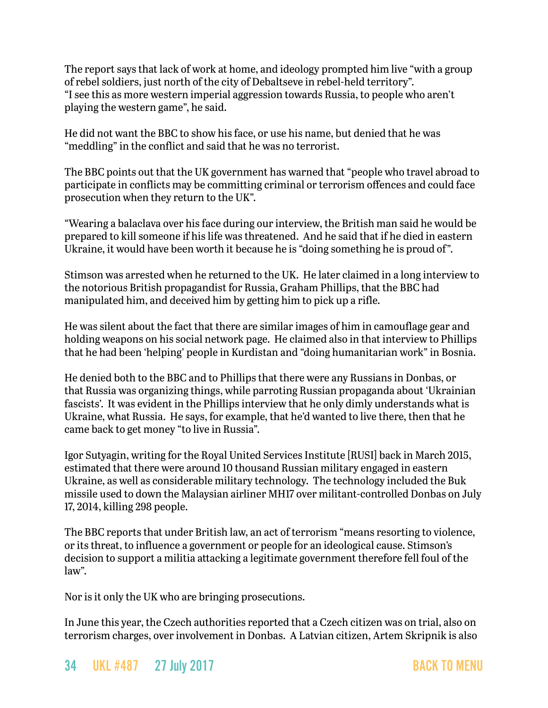The report says that lack of work at home, and ideology prompted him live "with a group of rebel soldiers, just north of the city of Debaltseve in rebel-held territory". "I see this as more western imperial aggression towards Russia, to people who aren't playing the western game", he said.

He did not want the BBC to show his face, or use his name, but denied that he was "meddling" in the conflict and said that he was no terrorist.

The BBC points out that the UK government has warned that "people who travel abroad to participate in conflicts may be committing criminal or terrorism offences and could face prosecution when they return to the UK".

"Wearing a balaclava over his face during our interview, the British man said he would be prepared to kill someone if his life was threatened. And he said that if he died in eastern Ukraine, it would have been worth it because he is "doing something he is proud of".

Stimson was arrested when he returned to the UK. He later claimed in a long interview to the notorious British propagandist for Russia, Graham Phillips, that the BBC had manipulated him, and deceived him by getting him to pick up a rifle.

He was silent about the fact that there are similar images of him in camouflage gear and holding weapons on his social network page. He claimed also in that interview to Phillips that he had been 'helping' people in Kurdistan and "doing humanitarian work" in Bosnia.

He denied both to the BBC and to Phillips that there were any Russians in Donbas, or that Russia was organizing things, while parroting Russian propaganda about 'Ukrainian fascists'. It was evident in the Phillips interview that he only dimly understands what is Ukraine, what Russia. He says, for example, that he'd wanted to live there, then that he came back to get money "to live in Russia".

Igor Sutyagin, writing for the Royal United Services Institute [RUSI] back in March 2015, estimated that there were around 10 thousand Russian military engaged in eastern Ukraine, as well as considerable military technology. The technology included the Buk missile used to down the Malaysian airliner MH17 over militant-controlled Donbas on July 17, 2014, killing 298 people.

The BBC reports that under British law, an act of terrorism "means resorting to violence, or its threat, to influence a government or people for an ideological cause. Stimson's decision to support a militia attacking a legitimate government therefore fell foul of the law".

Nor is it only the UK who are bringing prosecutions.

In June this year, the Czech authorities reported that a Czech citizen was on trial, also on terrorism charges, over involvement in Donbas. A Latvian citizen, Artem Skripnik is also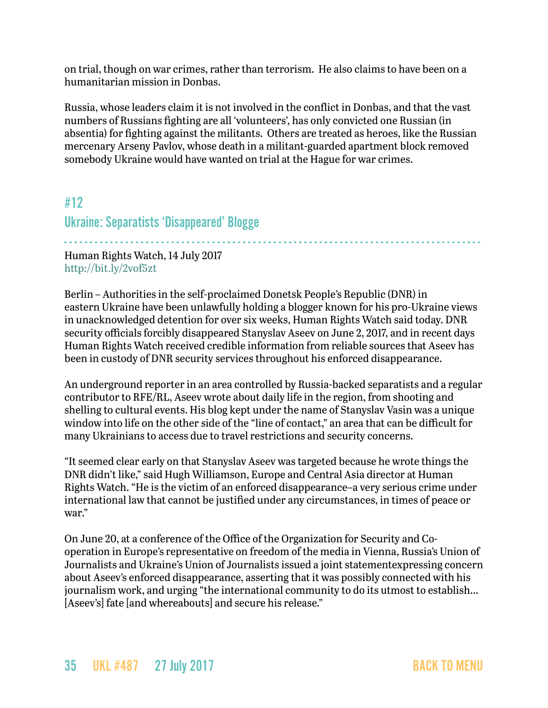on trial, though on war crimes, rather than terrorism. He also claims to have been on a humanitarian mission in Donbas.

Russia, whose leaders claim it is not involved in the conflict in Donbas, and that the vast numbers of Russians fighting are all 'volunteers', has only convicted one Russian (in absentia) for fighting against the militants. Others are treated as heroes, like the Russian mercenary Arseny Pavlov, whose death in a militant-guarded apartment block removed somebody Ukraine would have wanted on trial at the Hague for war crimes.

## #12

## Ukraine: Separatists 'Disappeared' Blogge

- - - - - - - - - - - - - - - - - - - - - - - - - - - - - - - - - - - - - - - - - - - - - - - - - - - - - - - - - - - - - - - - - - - - - - - - - - - - - - - - - - Human Rights Watch, 14 July 2017 <http://bit.ly/2vof5zt>

Berlin – Authorities in the self-proclaimed Donetsk People's Republic (DNR) in eastern Ukraine have been unlawfully holding a blogger known for his pro-Ukraine views in unacknowledged detention for over six weeks, Human Rights Watch said today. DNR security officials forcibly disappeared Stanyslav Aseev on June 2, 2017, and in recent days Human Rights Watch received credible information from reliable sources that Aseev has been in custody of DNR security services throughout his enforced disappearance.

An underground reporter in an area controlled by Russia-backed separatists and a regular contributor to RFE/RL, Aseev wrote about daily life in the region, from shooting and shelling to cultural events. His blog kept under the name of Stanyslav Vasin was a unique window into life on the other side of the "line of contact," an area that can be difficult for many Ukrainians to access due to travel restrictions and security concerns.

"It seemed clear early on that Stanyslav Aseev was targeted because he wrote things the DNR didn't like," said Hugh Williamson, Europe and Central Asia director at Human Rights Watch. "He is the victim of an enforced disappearance–a very serious crime under international law that cannot be justified under any circumstances, in times of peace or war."

On June 20, at a conference of the Office of the Organization for Security and Cooperation in Europe's representative on freedom of the media in Vienna, Russia's Union of Journalists and Ukraine's Union of Journalists issued a joint statementexpressing concern about Aseev's enforced disappearance, asserting that it was possibly connected with his journalism work, and urging "the international community to do its utmost to establish… [Aseev's] fate [and whereabouts] and secure his release."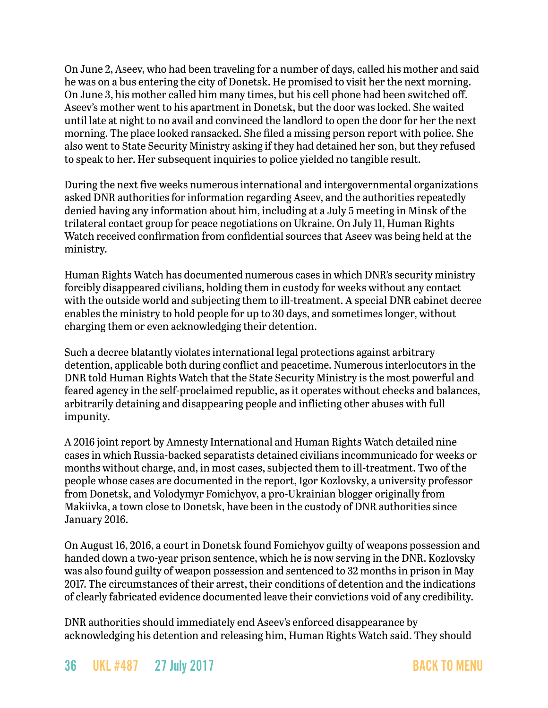On June 2, Aseev, who had been traveling for a number of days, called his mother and said he was on a bus entering the city of Donetsk. He promised to visit her the next morning. On June 3, his mother called him many times, but his cell phone had been switched off. Aseev's mother went to his apartment in Donetsk, but the door was locked. She waited until late at night to no avail and convinced the landlord to open the door for her the next morning. The place looked ransacked. She filed a missing person report with police. She also went to State Security Ministry asking if they had detained her son, but they refused to speak to her. Her subsequent inquiries to police yielded no tangible result.

During the next five weeks numerous international and intergovernmental organizations asked DNR authorities for information regarding Aseev, and the authorities repeatedly denied having any information about him, including at a July 5 meeting in Minsk of the trilateral contact group for peace negotiations on Ukraine. On July 11, Human Rights Watch received confirmation from confidential sources that Aseev was being held at the ministry.

Human Rights Watch has documented numerous cases in which DNR's security ministry forcibly disappeared civilians, holding them in custody for weeks without any contact with the outside world and subjecting them to ill-treatment. A special DNR cabinet decree enables the ministry to hold people for up to 30 days, and sometimes longer, without charging them or even acknowledging their detention.

Such a decree blatantly violates international legal protections against arbitrary detention, applicable both during conflict and peacetime. Numerous interlocutors in the DNR told Human Rights Watch that the State Security Ministry is the most powerful and feared agency in the self-proclaimed republic, as it operates without checks and balances, arbitrarily detaining and disappearing people and inflicting other abuses with full impunity.

A 2016 joint report by Amnesty International and Human Rights Watch detailed nine cases in which Russia-backed separatists detained civilians incommunicado for weeks or months without charge, and, in most cases, subjected them to ill-treatment. Two of the people whose cases are documented in the report, Igor Kozlovsky, a university professor from Donetsk, and Volodymyr Fomichyov, a pro-Ukrainian blogger originally from Makiivka, a town close to Donetsk, have been in the custody of DNR authorities since January 2016.

On August 16, 2016, a court in Donetsk found Fomichyov guilty of weapons possession and handed down a two-year prison sentence, which he is now serving in the DNR. Kozlovsky was also found guilty of weapon possession and sentenced to 32 months in prison in May 2017. The circumstances of their arrest, their conditions of detention and the indications of clearly fabricated evidence documented leave their convictions void of any credibility.

DNR authorities should immediately end Aseev's enforced disappearance by acknowledging his detention and releasing him, Human Rights Watch said. They should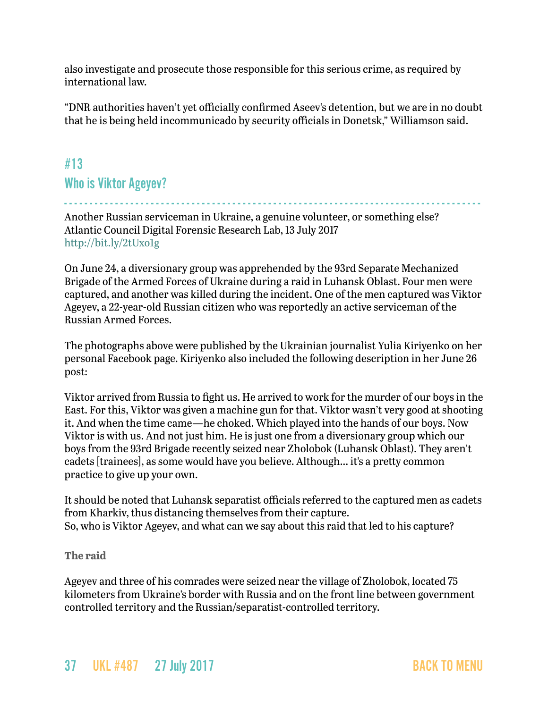also investigate and prosecute those responsible for this serious crime, as required by international law.

"DNR authorities haven't yet officially confirmed Aseev's detention, but we are in no doubt that he is being held incommunicado by security officials in Donetsk," Williamson said.

## #13

## Who is Viktor Ageyev?

- - - - - - - - - - - - - - - - - - - - - - - - - - - - - - - - - - - - - - - - - - - - - - - - - - - - - - - - - - - - - - - - - - - - - - - - - - - - - - - - - - Another Russian serviceman in Ukraine, a genuine volunteer, or something else? Atlantic Council Digital Forensic Research Lab, 13 July 2017 <http://bit.ly/2tUxo1g>

On June 24, a diversionary group was apprehended by the 93rd Separate Mechanized Brigade of the Armed Forces of Ukraine during a raid in Luhansk Oblast. Four men were captured, and another was killed during the incident. One of the men captured was Viktor Ageyev, a 22-year-old Russian citizen who was reportedly an active serviceman of the Russian Armed Forces.

The photographs above were published by the Ukrainian journalist Yulia Kiriyenko on her personal Facebook page. Kiriyenko also included the following description in her June 26 post:

Viktor arrived from Russia to fight us. He arrived to work for the murder of our boys in the East. For this, Viktor was given a machine gun for that. Viktor wasn't very good at shooting it. And when the time came—he choked. Which played into the hands of our boys. Now Viktor is with us. And not just him. He is just one from a diversionary group which our boys from the 93rd Brigade recently seized near Zholobok (Luhansk Oblast). They aren't cadets [trainees], as some would have you believe. Although… it's a pretty common practice to give up your own.

It should be noted that Luhansk separatist officials referred to the captured men as cadets from Kharkiv, thus distancing themselves from their capture. So, who is Viktor Ageyev, and what can we say about this raid that led to his capture?

## **The raid**

Ageyev and three of his comrades were seized near the village of Zholobok, located 75 kilometers from Ukraine's border with Russia and on the front line between government controlled territory and the Russian/separatist-controlled territory.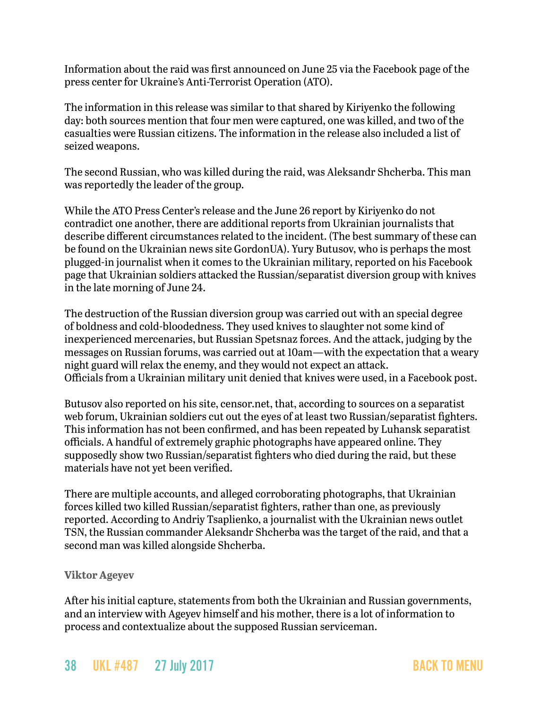Information about the raid was first announced on June 25 via the Facebook page of the press center for Ukraine's Anti-Terrorist Operation (ATO).

The information in this release was similar to that shared by Kiriyenko the following day: both sources mention that four men were captured, one was killed, and two of the casualties were Russian citizens. The information in the release also included a list of seized weapons.

The second Russian, who was killed during the raid, was Aleksandr Shcherba. This man was reportedly the leader of the group.

While the ATO Press Center's release and the June 26 report by Kiriyenko do not contradict one another, there are additional reports from Ukrainian journalists that describe different circumstances related to the incident. (The best summary of these can be found on the Ukrainian news site GordonUA). Yury Butusov, who is perhaps the most plugged-in journalist when it comes to the Ukrainian military, reported on his Facebook page that Ukrainian soldiers attacked the Russian/separatist diversion group with knives in the late morning of June 24.

The destruction of the Russian diversion group was carried out with an special degree of boldness and cold-bloodedness. They used knives to slaughter not some kind of inexperienced mercenaries, but Russian Spetsnaz forces. And the attack, judging by the messages on Russian forums, was carried out at 10am—with the expectation that a weary night guard will relax the enemy, and they would not expect an attack. Officials from a Ukrainian military unit denied that knives were used, in a Facebook post.

Butusov also reported on his site, censor.net, that, according to sources on a separatist web forum, Ukrainian soldiers cut out the eyes of at least two Russian/separatist fighters. This information has not been confirmed, and has been repeated by Luhansk separatist officials. A handful of extremely graphic photographs have appeared online. They supposedly show two Russian/separatist fighters who died during the raid, but these materials have not yet been verified.

There are multiple accounts, and alleged corroborating photographs, that Ukrainian forces killed two killed Russian/separatist fighters, rather than one, as previously reported. According to Andriy Tsaplienko, a journalist with the Ukrainian news outlet TSN, the Russian commander Aleksandr Shcherba was the target of the raid, and that a second man was killed alongside Shcherba.

### **Viktor Ageyev**

After his initial capture, statements from both the Ukrainian and Russian governments, and an interview with Ageyev himself and his mother, there is a lot of information to process and contextualize about the supposed Russian serviceman.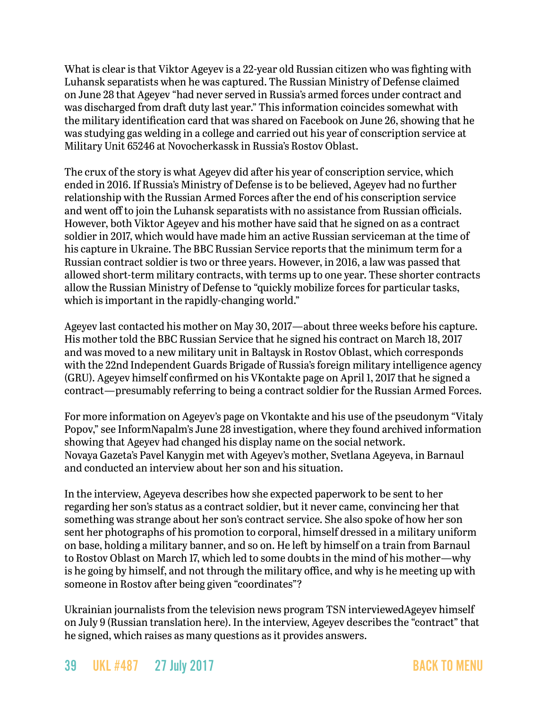What is clear is that Viktor Ageyev is a 22-year old Russian citizen who was fighting with Luhansk separatists when he was captured. The Russian Ministry of Defense claimed on June 28 that Ageyev "had never served in Russia's armed forces under contract and was discharged from draft duty last year." This information coincides somewhat with the military identification card that was shared on Facebook on June 26, showing that he was studying gas welding in a college and carried out his year of conscription service at Military Unit 65246 at Novocherkassk in Russia's Rostov Oblast.

The crux of the story is what Ageyev did after his year of conscription service, which ended in 2016. If Russia's Ministry of Defense is to be believed, Ageyev had no further relationship with the Russian Armed Forces after the end of his conscription service and went off to join the Luhansk separatists with no assistance from Russian officials. However, both Viktor Ageyev and his mother have said that he signed on as a contract soldier in 2017, which would have made him an active Russian serviceman at the time of his capture in Ukraine. The BBC Russian Service reports that the minimum term for a Russian contract soldier is two or three years. However, in 2016, a law was passed that allowed short-term military contracts, with terms up to one year. These shorter contracts allow the Russian Ministry of Defense to "quickly mobilize forces for particular tasks, which is important in the rapidly-changing world."

Ageyev last contacted his mother on May 30, 2017—about three weeks before his capture. His mother told the BBC Russian Service that he signed his contract on March 18, 2017 and was moved to a new military unit in Baltaysk in Rostov Oblast, which corresponds with the 22nd Independent Guards Brigade of Russia's foreign military intelligence agency (GRU). Ageyev himself confirmed on his VKontakte page on April 1, 2017 that he signed a contract—presumably referring to being a contract soldier for the Russian Armed Forces.

For more information on Ageyev's page on Vkontakte and his use of the pseudonym "Vitaly Popov," see InformNapalm's June 28 investigation, where they found archived information showing that Ageyev had changed his display name on the social network. Novaya Gazeta's Pavel Kanygin met with Ageyev's mother, Svetlana Ageyeva, in Barnaul and conducted an interview about her son and his situation.

In the interview, Ageyeva describes how she expected paperwork to be sent to her regarding her son's status as a contract soldier, but it never came, convincing her that something was strange about her son's contract service. She also spoke of how her son sent her photographs of his promotion to corporal, himself dressed in a military uniform on base, holding a military banner, and so on. He left by himself on a train from Barnaul to Rostov Oblast on March 17, which led to some doubts in the mind of his mother—why is he going by himself, and not through the military office, and why is he meeting up with someone in Rostov after being given "coordinates"?

Ukrainian journalists from the television news program TSN interviewedAgeyev himself on July 9 (Russian translation here). In the interview, Ageyev describes the "contract" that he signed, which raises as many questions as it provides answers.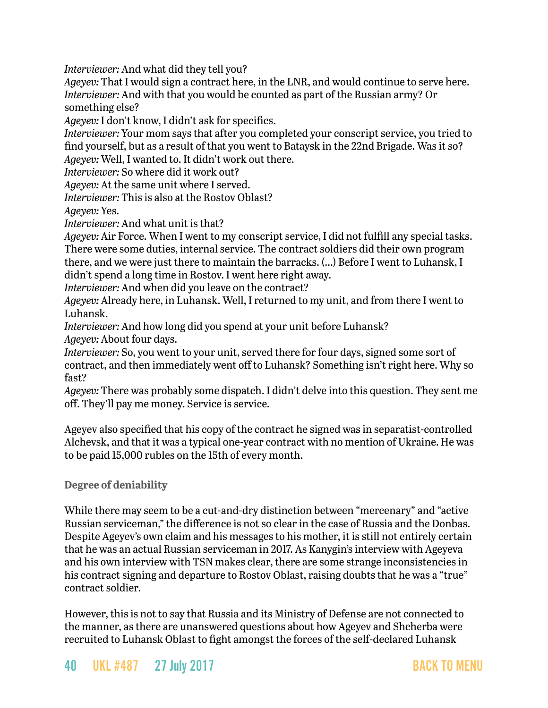*Interviewer:* And what did they tell you?

*Ageyev:* That I would sign a contract here, in the LNR, and would continue to serve here. *Interviewer:* And with that you would be counted as part of the Russian army? Or something else?

*Ageyev:* I don't know, I didn't ask for specifics.

*Interviewer:* Your mom says that after you completed your conscript service, you tried to find yourself, but as a result of that you went to Bataysk in the 22nd Brigade. Was it so? *Ageyev:* Well, I wanted to. It didn't work out there.

*Interviewer:* So where did it work out?

*Ageyev:* At the same unit where I served.

*Interviewer:* This is also at the Rostov Oblast?

*Ageyev:* Yes.

*Interviewer:* And what unit is that?

*Ageyev:* Air Force. When I went to my conscript service, I did not fulfill any special tasks. There were some duties, internal service. The contract soldiers did their own program there, and we were just there to maintain the barracks. (…) Before I went to Luhansk, I didn't spend a long time in Rostov. I went here right away.

*Interviewer:* And when did you leave on the contract?

*Ageyev:* Already here, in Luhansk. Well, I returned to my unit, and from there I went to Luhansk.

*Interviewer:* And how long did you spend at your unit before Luhansk? *Ageyev:* About four days.

*Interviewer:* So, you went to your unit, served there for four days, signed some sort of contract, and then immediately went off to Luhansk? Something isn't right here. Why so fast?

*Ageyev:* There was probably some dispatch. I didn't delve into this question. They sent me off. They'll pay me money. Service is service.

Ageyev also specified that his copy of the contract he signed was in separatist-controlled Alchevsk, and that it was a typical one-year contract with no mention of Ukraine. He was to be paid 15,000 rubles on the 15th of every month.

## **Degree of deniability**

While there may seem to be a cut-and-dry distinction between "mercenary" and "active Russian serviceman," the difference is not so clear in the case of Russia and the Donbas. Despite Ageyev's own claim and his messages to his mother, it is still not entirely certain that he was an actual Russian serviceman in 2017. As Kanygin's interview with Ageyeva and his own interview with TSN makes clear, there are some strange inconsistencies in his contract signing and departure to Rostov Oblast, raising doubts that he was a "true" contract soldier.

However, this is not to say that Russia and its Ministry of Defense are not connected to the manner, as there are unanswered questions about how Ageyev and Shcherba were recruited to Luhansk Oblast to fight amongst the forces of the self-declared Luhansk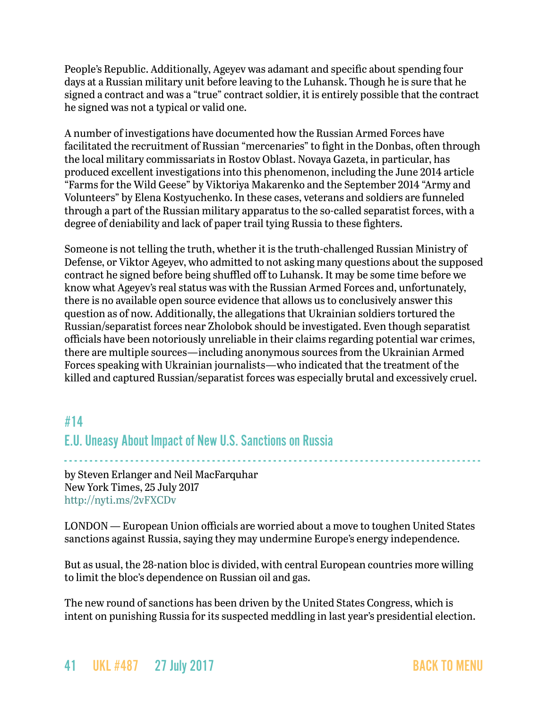People's Republic. Additionally, Ageyev was adamant and specific about spending four days at a Russian military unit before leaving to the Luhansk. Though he is sure that he signed a contract and was a "true" contract soldier, it is entirely possible that the contract he signed was not a typical or valid one.

A number of investigations have documented how the Russian Armed Forces have facilitated the recruitment of Russian "mercenaries" to fight in the Donbas, often through the local military commissariats in Rostov Oblast. Novaya Gazeta, in particular, has produced excellent investigations into this phenomenon, including the June 2014 article "Farms for the Wild Geese" by Viktoriya Makarenko and the September 2014 "Army and Volunteers" by Elena Kostyuchenko. In these cases, veterans and soldiers are funneled through a part of the Russian military apparatus to the so-called separatist forces, with a degree of deniability and lack of paper trail tying Russia to these fighters.

Someone is not telling the truth, whether it is the truth-challenged Russian Ministry of Defense, or Viktor Ageyev, who admitted to not asking many questions about the supposed contract he signed before being shuffled off to Luhansk. It may be some time before we know what Ageyev's real status was with the Russian Armed Forces and, unfortunately, there is no available open source evidence that allows us to conclusively answer this question as of now. Additionally, the allegations that Ukrainian soldiers tortured the Russian/separatist forces near Zholobok should be investigated. Even though separatist officials have been notoriously unreliable in their claims regarding potential war crimes, there are multiple sources—including anonymous sources from the Ukrainian Armed Forces speaking with Ukrainian journalists—who indicated that the treatment of the killed and captured Russian/separatist forces was especially brutal and excessively cruel.

# <span id="page-40-0"></span>#14 E.U. Uneasy About Impact of New U.S. Sanctions on Russia

- - - - - - - - - - - - - - - - - - - - - - - - - - - - - - - - - - - - - - - - - - - - - - - - - - - - - - - - - - - - - - - - - - - - - - - - - - - - - - - - - by Steven Erlanger and Neil MacFarquhar New York Times, 25 July 2017 <http://nyti.ms/2vFXCDv>

LONDON — European Union officials are worried about a move to toughen United States sanctions against Russia, saying they may undermine Europe's energy independence.

But as usual, the 28-nation bloc is divided, with central European countries more willing to limit the bloc's dependence on Russian oil and gas.

The new round of sanctions has been driven by the United States Congress, which is intent on punishing Russia for its suspected meddling in last year's presidential election.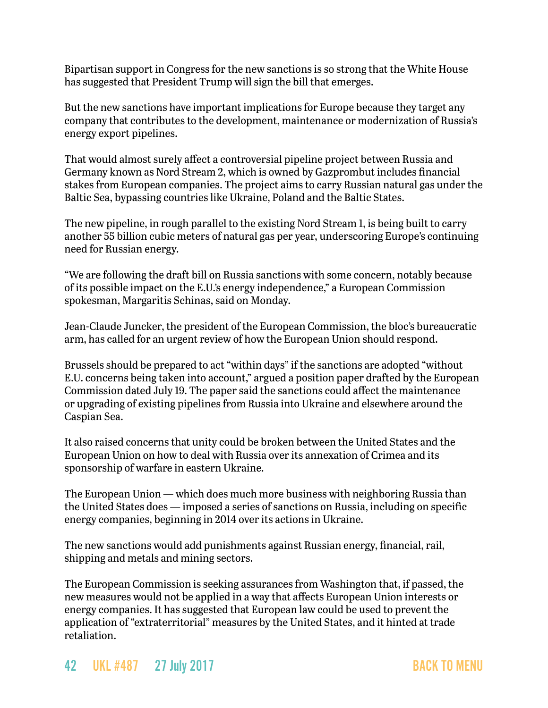Bipartisan support in Congress for the new sanctions is so strong that the White House has suggested that President Trump will sign the bill that emerges.

But the new sanctions have important implications for Europe because they target any company that contributes to the development, maintenance or modernization of Russia's energy export pipelines.

That would almost surely affect a controversial pipeline project between Russia and Germany known as Nord Stream 2, which is owned by Gazprombut includes financial stakes from European companies. The project aims to carry Russian natural gas under the Baltic Sea, bypassing countries like Ukraine, Poland and the Baltic States.

The new pipeline, in rough parallel to the existing Nord Stream 1, is being built to carry another 55 billion cubic meters of natural gas per year, underscoring Europe's continuing need for Russian energy.

"We are following the draft bill on Russia sanctions with some concern, notably because of its possible impact on the E.U.'s energy independence," a European Commission spokesman, Margaritis Schinas, said on Monday.

Jean-Claude Juncker, the president of the European Commission, the bloc's bureaucratic arm, has called for an urgent review of how the European Union should respond.

Brussels should be prepared to act "within days" if the sanctions are adopted "without E.U. concerns being taken into account," argued a position paper drafted by the European Commission dated July 19. The paper said the sanctions could affect the maintenance or upgrading of existing pipelines from Russia into Ukraine and elsewhere around the Caspian Sea.

It also raised concerns that unity could be broken between the United States and the European Union on how to deal with Russia over its annexation of Crimea and its sponsorship of warfare in eastern Ukraine.

The European Union — which does much more business with neighboring Russia than the United States does — imposed a series of sanctions on Russia, including on specific energy companies, beginning in 2014 over its actions in Ukraine.

The new sanctions would add punishments against Russian energy, financial, rail, shipping and metals and mining sectors.

The European Commission is seeking assurances from Washington that, if passed, the new measures would not be applied in a way that affects European Union interests or energy companies. It has suggested that European law could be used to prevent the application of "extraterritorial" measures by the United States, and it hinted at trade retaliation.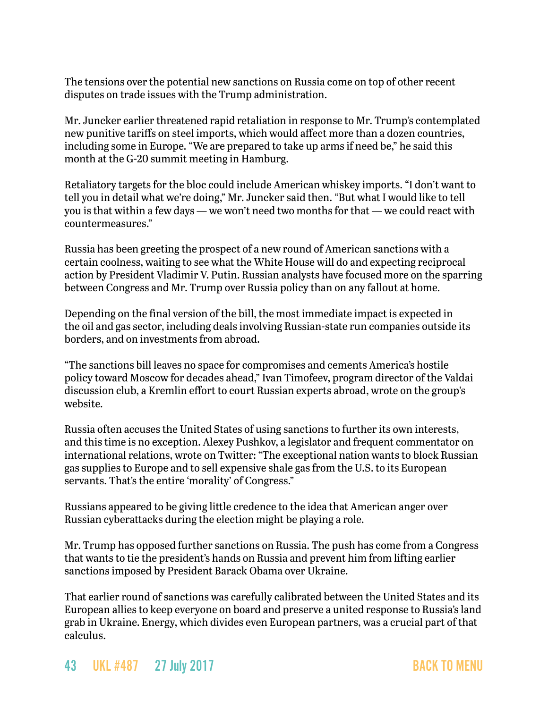The tensions over the potential new sanctions on Russia come on top of other recent disputes on trade issues with the Trump administration.

Mr. Juncker earlier threatened rapid retaliation in response to Mr. Trump's contemplated new punitive tariffs on steel imports, which would affect more than a dozen countries, including some in Europe. "We are prepared to take up arms if need be," he said this month at the G-20 summit meeting in Hamburg.

Retaliatory targets for the bloc could include American whiskey imports. "I don't want to tell you in detail what we're doing," Mr. Juncker said then. "But what I would like to tell you is that within a few days — we won't need two months for that — we could react with countermeasures."

Russia has been greeting the prospect of a new round of American sanctions with a certain coolness, waiting to see what the White House will do and expecting reciprocal action by President Vladimir V. Putin. Russian analysts have focused more on the sparring between Congress and Mr. Trump over Russia policy than on any fallout at home.

Depending on the final version of the bill, the most immediate impact is expected in the oil and gas sector, including deals involving Russian-state run companies outside its borders, and on investments from abroad.

"The sanctions bill leaves no space for compromises and cements America's hostile policy toward Moscow for decades ahead," Ivan Timofeev, program director of the Valdai discussion club, a Kremlin effort to court Russian experts abroad, wrote on the group's website.

Russia often accuses the United States of using sanctions to further its own interests, and this time is no exception. Alexey Pushkov, a legislator and frequent commentator on international relations, wrote on Twitter: "The exceptional nation wants to block Russian gas supplies to Europe and to sell expensive shale gas from the U.S. to its European servants. That's the entire 'morality' of Congress."

Russians appeared to be giving little credence to the idea that American anger over Russian cyberattacks during the election might be playing a role.

Mr. Trump has opposed further sanctions on Russia. The push has come from a Congress that wants to tie the president's hands on Russia and prevent him from lifting earlier sanctions imposed by President Barack Obama over Ukraine.

That earlier round of sanctions was carefully calibrated between the United States and its European allies to keep everyone on board and preserve a united response to Russia's land grab in Ukraine. Energy, which divides even European partners, was a crucial part of that calculus.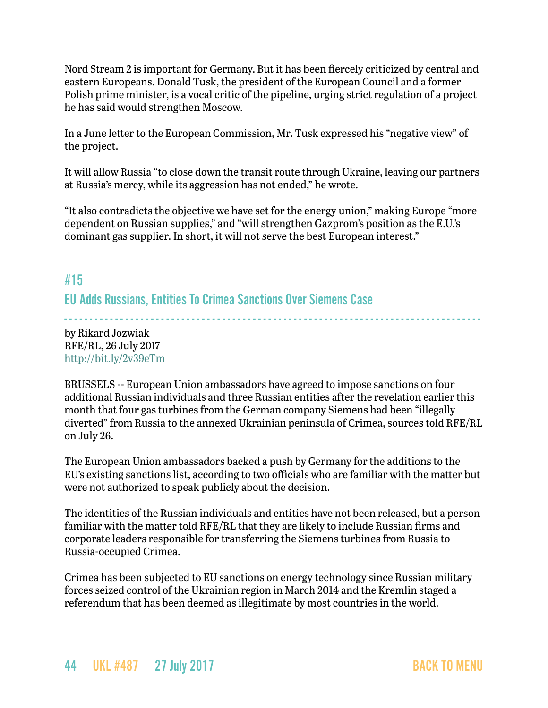Nord Stream 2 is important for Germany. But it has been fiercely criticized by central and eastern Europeans. Donald Tusk, the president of the European Council and a former Polish prime minister, is a vocal critic of the pipeline, urging strict regulation of a project he has said would strengthen Moscow.

In a June letter to the European Commission, Mr. Tusk expressed his "negative view" of the project.

It will allow Russia "to close down the transit route through Ukraine, leaving our partners at Russia's mercy, while its aggression has not ended," he wrote.

"It also contradicts the objective we have set for the energy union," making Europe "more dependent on Russian supplies," and "will strengthen Gazprom's position as the E.U.'s dominant gas supplier. In short, it will not serve the best European interest."

# #15 EU Adds Russians, Entities To Crimea Sanctions Over Siemens Case

- - - - - - - - - - - - - - - - - - - - - - - - - - - - - - - - - - - - - - - - - - - - - - - - - - - - - - - - - - - - - - - - - - - - - - - - - - - - - - - - - by Rikard Jozwiak RFE/RL, 26 July 2017 <http://bit.ly/2v39eTm>

BRUSSELS -- European Union ambassadors have agreed to impose sanctions on four additional Russian individuals and three Russian entities after the revelation earlier this month that four gas turbines from the German company Siemens had been "illegally diverted" from Russia to the annexed Ukrainian peninsula of Crimea, sources told RFE/RL on July 26.

The European Union ambassadors backed a push by Germany for the additions to the EU's existing sanctions list, according to two officials who are familiar with the matter but were not authorized to speak publicly about the decision.

The identities of the Russian individuals and entities have not been released, but a person familiar with the matter told RFE/RL that they are likely to include Russian firms and corporate leaders responsible for transferring the Siemens turbines from Russia to Russia-occupied Crimea.

Crimea has been subjected to EU sanctions on energy technology since Russian military forces seized control of the Ukrainian region in March 2014 and the Kremlin staged a referendum that has been deemed as illegitimate by most countries in the world.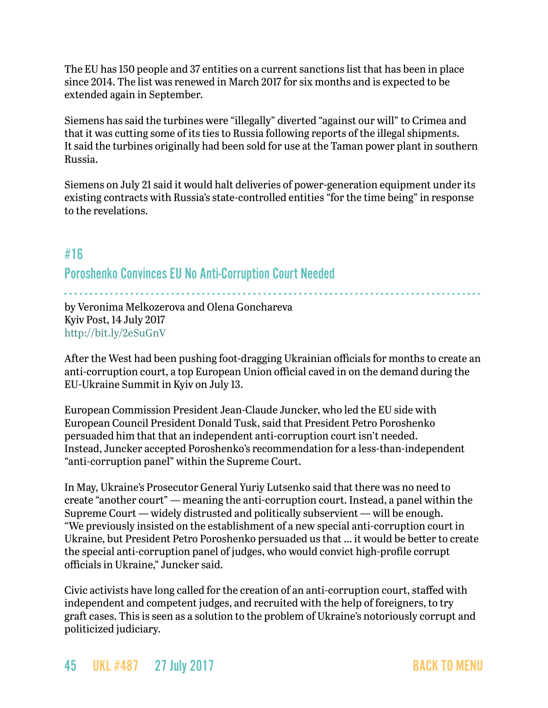The EU has 150 people and 37 entities on a current sanctions list that has been in place since 2014. The list was renewed in March 2017 for six months and is expected to be extended again in September.

Siemens has said the turbines were "illegally" diverted "against our will" to Crimea and that it was cutting some of its ties to Russia following reports of the illegal shipments. It said the turbines originally had been sold for use at the Taman power plant in southern Russia.

Siemens on July 21 said it would halt deliveries of power-generation equipment under its existing contracts with Russia's state-controlled entities "for the time being" in response to the revelations.

## <span id="page-44-0"></span>#16

Poroshenko Convinces EU No Anti-Corruption Court Needed

- - - - - - - - - - - - - - - - - - - - - - - - - - - - - - - - - - - - - - - - - - - - - - - - - - - - - - - - - - - - - - - - - - - - - - - - - - - - - - - - - by Veronima Melkozerova and Olena Gonchareva Kyiv Post, 14 July 2017 <http://bit.ly/2eSuGnV>

After the West had been pushing foot-dragging Ukrainian officials for months to create an anti-corruption court, a top European Union official caved in on the demand during the EU-Ukraine Summit in Kyiv on July 13.

European Commission President Jean-Claude Juncker, who led the EU side with European Council President Donald Tusk, said that President Petro Poroshenko persuaded him that that an independent anti-corruption court isn't needed. Instead, Juncker accepted Poroshenko's recommendation for a less-than-independent "anti-corruption panel" within the Supreme Court.

In May, Ukraine's Prosecutor General Yuriy Lutsenko said that there was no need to create "another court" — meaning the anti-corruption court. Instead, a panel within the Supreme Court — widely distrusted and politically subservient — will be enough. "We previously insisted on the establishment of a new special anti-corruption court in Ukraine, but President Petro Poroshenko persuaded us that … it would be better to create the special anti-corruption panel of judges, who would convict high-profile corrupt officials in Ukraine," Juncker said.

Civic activists have long called for the creation of an anti-corruption court, staffed with independent and competent judges, and recruited with the help of foreigners, to try graft cases. This is seen as a solution to the problem of Ukraine's notoriously corrupt and politicized judiciary.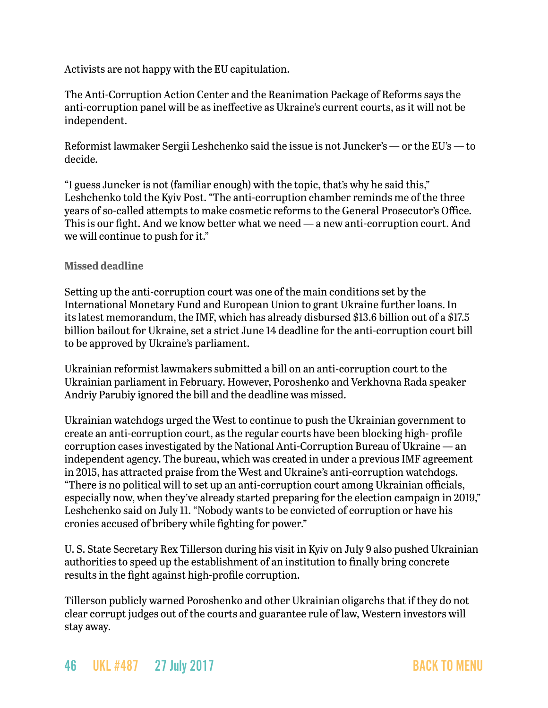Activists are not happy with the EU capitulation.

The Anti-Corruption Action Center and the Reanimation Package of Reforms says the anti-corruption panel will be as ineffective as Ukraine's current courts, as it will not be independent.

Reformist lawmaker Sergii Leshchenko said the issue is not Juncker's — or the EU's — to decide.

"I guess Juncker is not (familiar enough) with the topic, that's why he said this," Leshchenko told the Kyiv Post. "The anti-corruption chamber reminds me of the three years of so-called attempts to make cosmetic reforms to the General Prosecutor's Office. This is our fight. And we know better what we need — a new anti-corruption court. And we will continue to push for it."

#### **Missed deadline**

Setting up the anti-corruption court was one of the main conditions set by the International Monetary Fund and European Union to grant Ukraine further loans. In its latest memorandum, the IMF, which has already disbursed \$13.6 billion out of a \$17.5 billion bailout for Ukraine, set a strict June 14 deadline for the anti-corruption court bill to be approved by Ukraine's parliament.

Ukrainian reformist lawmakers submitted a bill on an anti-corruption court to the Ukrainian parliament in February. However, Poroshenko and Verkhovna Rada speaker Andriy Parubiy ignored the bill and the deadline was missed.

Ukrainian watchdogs urged the West to continue to push the Ukrainian government to create an anti-corruption court, as the regular courts have been blocking high- profile corruption cases investigated by the National Anti-Corruption Bureau of Ukraine — an independent agency. The bureau, which was created in under a previous IMF agreement in 2015, has attracted praise from the West and Ukraine's anti-corruption watchdogs. "There is no political will to set up an anti-corruption court among Ukrainian officials, especially now, when they've already started preparing for the election campaign in 2019," Leshchenko said on July 11. "Nobody wants to be convicted of corruption or have his cronies accused of bribery while fighting for power."

U. S. State Secretary Rex Tillerson during his visit in Kyiv on July 9 also pushed Ukrainian authorities to speed up the establishment of an institution to finally bring concrete results in the fight against high-profile corruption.

Tillerson publicly warned Poroshenko and other Ukrainian oligarchs that if they do not clear corrupt judges out of the courts and guarantee rule of law, Western investors will stay away.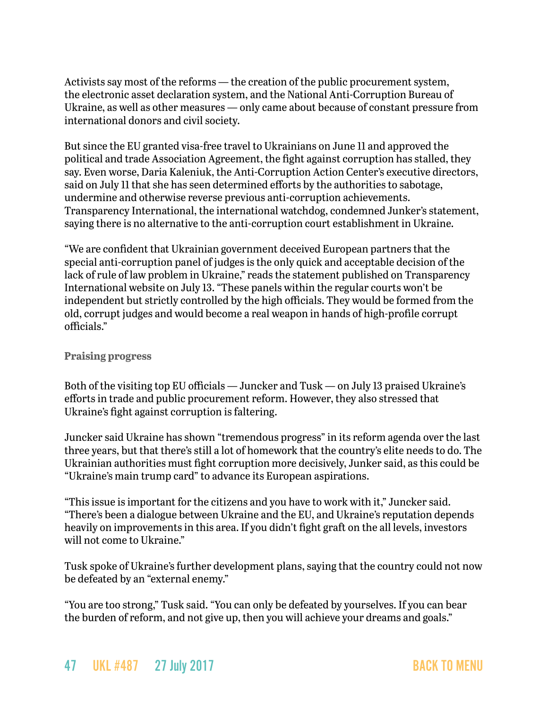Activists say most of the reforms — the creation of the public procurement system, the electronic asset declaration system, and the National Anti-Corruption Bureau of Ukraine, as well as other measures — only came about because of constant pressure from international donors and civil society.

But since the EU granted visa-free travel to Ukrainians on June 11 and approved the political and trade Association Agreement, the fight against corruption has stalled, they say. Even worse, Daria Kaleniuk, the Anti-Corruption Action Center's executive directors, said on July 11 that she has seen determined efforts by the authorities to sabotage, undermine and otherwise reverse previous anti-corruption achievements. Transparency International, the international watchdog, condemned Junker's statement, saying there is no alternative to the anti-corruption court establishment in Ukraine.

"We are confident that Ukrainian government deceived European partners that the special anti-corruption panel of judges is the only quick and acceptable decision of the lack of rule of law problem in Ukraine," reads the statement published on Transparency International website on July 13. "These panels within the regular courts won't be independent but strictly controlled by the high officials. They would be formed from the old, corrupt judges and would become a real weapon in hands of high-profile corrupt officials."

### **Praising progress**

Both of the visiting top EU officials — Juncker and Tusk — on July 13 praised Ukraine's efforts in trade and public procurement reform. However, they also stressed that Ukraine's fight against corruption is faltering.

Juncker said Ukraine has shown "tremendous progress" in its reform agenda over the last three years, but that there's still a lot of homework that the country's elite needs to do. The Ukrainian authorities must fight corruption more decisively, Junker said, as this could be "Ukraine's main trump card" to advance its European aspirations.

"This issue is important for the citizens and you have to work with it," Juncker said. "There's been a dialogue between Ukraine and the EU, and Ukraine's reputation depends heavily on improvements in this area. If you didn't fight graft on the all levels, investors will not come to Ukraine."

Tusk spoke of Ukraine's further development plans, saying that the country could not now be defeated by an "external enemy."

"You are too strong," Tusk said. "You can only be defeated by yourselves. If you can bear the burden of reform, and not give up, then you will achieve your dreams and goals."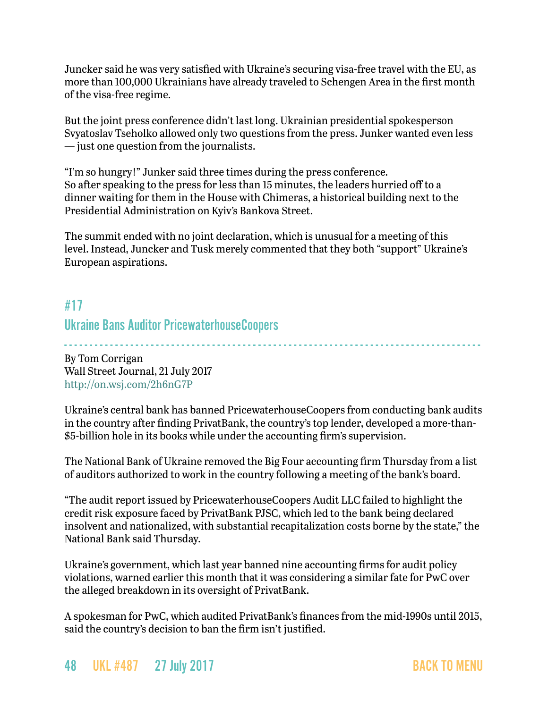Juncker said he was very satisfied with Ukraine's securing visa-free travel with the EU, as more than 100,000 Ukrainians have already traveled to Schengen Area in the first month of the visa-free regime.

But the joint press conference didn't last long. Ukrainian presidential spokesperson Svyatoslav Tseholko allowed only two questions from the press. Junker wanted even less — just one question from the journalists.

"I'm so hungry!" Junker said three times during the press conference. So after speaking to the press for less than 15 minutes, the leaders hurried off to a dinner waiting for them in the House with Chimeras, a historical building next to the Presidential Administration on Kyiv's Bankova Street.

The summit ended with no joint declaration, which is unusual for a meeting of this level. Instead, Juncker and Tusk merely commented that they both "support" Ukraine's European aspirations.

# <span id="page-47-0"></span>#17 Ukraine Bans Auditor PricewaterhouseCoopers

- - - - - - - - - - - - - - - - - - - - - - - - - - - - - - - - - - - - - - - - - - - - - - - - - - - - - - - - - - - - - - - - - - - - - - - - - - - - - - - - - - By Tom Corrigan Wall Street Journal, 21 July 2017 <http://on.wsj.com/2h6nG7P>

Ukraine's central bank has banned PricewaterhouseCoopers from conducting bank audits in the country after finding PrivatBank, the country's top lender, developed a more-than- \$5-billion hole in its books while under the accounting firm's supervision.

The National Bank of Ukraine removed the Big Four accounting firm Thursday from a list of auditors authorized to work in the country following a meeting of the bank's board.

"The audit report issued by PricewaterhouseCoopers Audit LLC failed to highlight the credit risk exposure faced by PrivatBank PJSC, which led to the bank being declared insolvent and nationalized, with substantial recapitalization costs borne by the state," the National Bank said Thursday.

Ukraine's government, which last year banned nine accounting firms for audit policy violations, warned earlier this month that it was considering a similar fate for PwC over the alleged breakdown in its oversight of PrivatBank.

A spokesman for PwC, which audited PrivatBank's finances from the mid-1990s until 2015, said the country's decision to ban the firm isn't justified.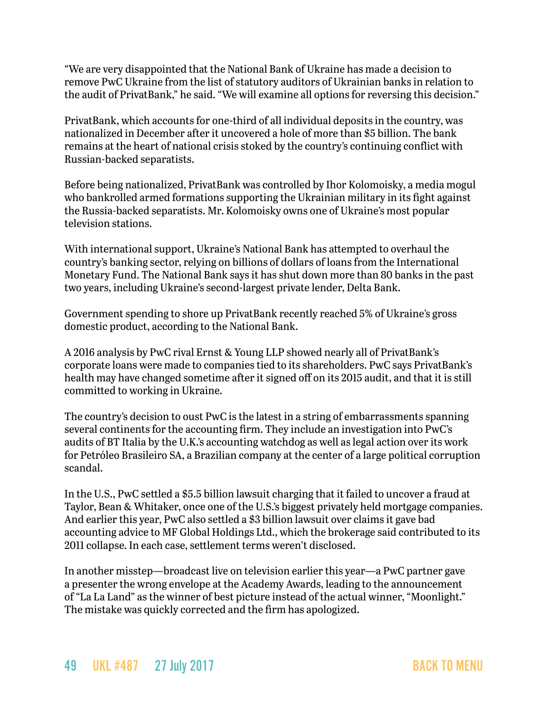"We are very disappointed that the National Bank of Ukraine has made a decision to remove PwC Ukraine from the list of statutory auditors of Ukrainian banks in relation to the audit of PrivatBank," he said. "We will examine all options for reversing this decision."

PrivatBank, which accounts for one-third of all individual deposits in the country, was nationalized in December after it uncovered a hole of more than \$5 billion. The bank remains at the heart of national crisis stoked by the country's continuing conflict with Russian-backed separatists.

Before being nationalized, PrivatBank was controlled by Ihor Kolomoisky, a media mogul who bankrolled armed formations supporting the Ukrainian military in its fight against the Russia-backed separatists. Mr. Kolomoisky owns one of Ukraine's most popular television stations.

With international support, Ukraine's National Bank has attempted to overhaul the country's banking sector, relying on billions of dollars of loans from the International Monetary Fund. The National Bank says it has shut down more than 80 banks in the past two years, including Ukraine's second-largest private lender, Delta Bank.

Government spending to shore up PrivatBank recently reached 5% of Ukraine's gross domestic product, according to the National Bank.

A 2016 analysis by PwC rival Ernst & Young LLP showed nearly all of PrivatBank's corporate loans were made to companies tied to its shareholders. PwC says PrivatBank's health may have changed sometime after it signed off on its 2015 audit, and that it is still committed to working in Ukraine.

The country's decision to oust PwC is the latest in a string of embarrassments spanning several continents for the accounting firm. They include an investigation into PwC's audits of BT Italia by the U.K.'s accounting watchdog as well as legal action over its work for Petróleo Brasileiro SA, a Brazilian company at the center of a large political corruption scandal.

In the U.S., PwC settled a \$5.5 billion lawsuit charging that it failed to uncover a fraud at Taylor, Bean & Whitaker, once one of the U.S.'s biggest privately held mortgage companies. And earlier this year, PwC also settled a \$3 billion lawsuit over claims it gave bad accounting advice to MF Global Holdings Ltd., which the brokerage said contributed to its 2011 collapse. In each case, settlement terms weren't disclosed.

In another misstep—broadcast live on television earlier this year—a PwC partner gave a presenter the wrong envelope at the Academy Awards, leading to the announcement of "La La Land" as the winner of best picture instead of the actual winner, "Moonlight." The mistake was quickly corrected and the firm has apologized.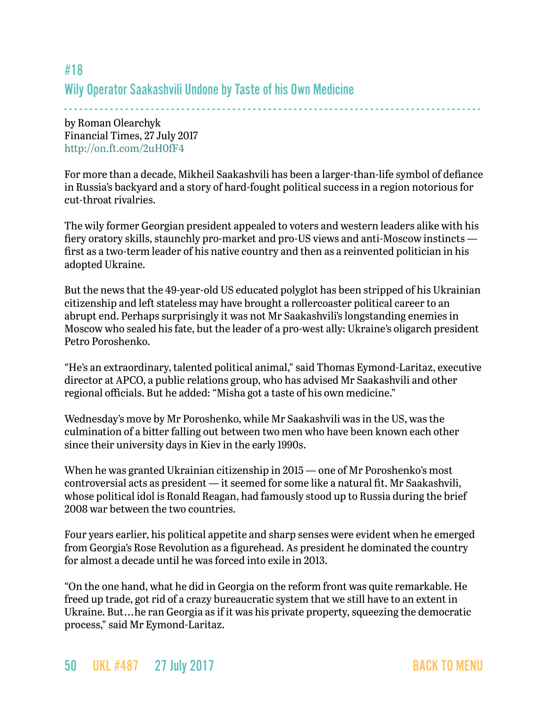# <span id="page-49-0"></span>#18 Wily Operator Saakashvili Undone by Taste of his Own Medicine

- - - - - - - - - - - - - - - - - - - - - - - - - - - - - - - - - - - - - - - - - - - - - - - - - - - - - - - - - - - - - - - - - - - - - - - - - - - - - - - - - by Roman Olearchyk Financial Times, 27 July 2017 <http://on.ft.com/2uH0fF4>

For more than a decade, Mikheil Saakashvili has been a larger-than-life symbol of defiance in Russia's backyard and a story of hard-fought political success in a region notorious for cut-throat rivalries.

The wily former Georgian president appealed to voters and western leaders alike with his fiery oratory skills, staunchly pro-market and pro-US views and anti-Moscow instincts first as a two-term leader of his native country and then as a reinvented politician in his adopted Ukraine.

But the news that the 49-year-old US educated polyglot has been stripped of his Ukrainian citizenship and left stateless may have brought a rollercoaster political career to an abrupt end. Perhaps surprisingly it was not Mr Saakashvili's longstanding enemies in Moscow who sealed his fate, but the leader of a pro-west ally: Ukraine's oligarch president Petro Poroshenko.

"He's an extraordinary, talented political animal," said Thomas Eymond-Laritaz, executive director at APCO, a public relations group, who has advised Mr Saakashvili and other regional officials. But he added: "Misha got a taste of his own medicine."

Wednesday's move by Mr Poroshenko, while Mr Saakashvili was in the US, was the culmination of a bitter falling out between two men who have been known each other since their university days in Kiev in the early 1990s.

When he was granted Ukrainian citizenship in 2015 — one of Mr Poroshenko's most controversial acts as president — it seemed for some like a natural fit. Mr Saakashvili, whose political idol is Ronald Reagan, had famously stood up to Russia during the brief 2008 war between the two countries.

Four years earlier, his political appetite and sharp senses were evident when he emerged from Georgia's Rose Revolution as a figurehead. As president he dominated the country for almost a decade until he was forced into exile in 2013.

"On the one hand, what he did in Georgia on the reform front was quite remarkable. He freed up trade, got rid of a crazy bureaucratic system that we still have to an extent in Ukraine. But...he ran Georgia as if it was his private property, squeezing the democratic process," said Mr Eymond-Laritaz.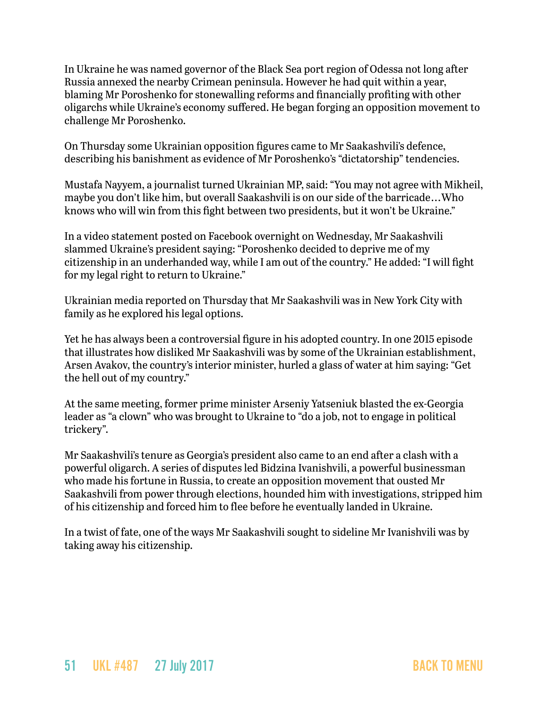In Ukraine he was named governor of the Black Sea port region of Odessa not long after Russia annexed the nearby Crimean peninsula. However he had quit within a year, blaming Mr Poroshenko for stonewalling reforms and financially profiting with other oligarchs while Ukraine's economy suffered. He began forging an opposition movement to challenge Mr Poroshenko.

On Thursday some Ukrainian opposition figures came to Mr Saakashvili's defence, describing his banishment as evidence of Mr Poroshenko's "dictatorship" tendencies.

Mustafa Nayyem, a journalist turned Ukrainian MP, said: "You may not agree with Mikheil, maybe you don't like him, but overall Saakashvili is on our side of the barricade . . . Who knows who will win from this fight between two presidents, but it won't be Ukraine."

In a video statement posted on Facebook overnight on Wednesday, Mr Saakashvili slammed Ukraine's president saying: "Poroshenko decided to deprive me of my citizenship in an underhanded way, while I am out of the country." He added: "I will fight for my legal right to return to Ukraine."

Ukrainian media reported on Thursday that Mr Saakashvili was in New York City with family as he explored his legal options.

Yet he has always been a controversial figure in his adopted country. In one 2015 episode that illustrates how disliked Mr Saakashvili was by some of the Ukrainian establishment, Arsen Avakov, the country's interior minister, hurled a glass of water at him saying: "Get the hell out of my country."

At the same meeting, former prime minister Arseniy Yatseniuk blasted the ex-Georgia leader as "a clown" who was brought to Ukraine to "do a job, not to engage in political trickery".

Mr Saakashvili's tenure as Georgia's president also came to an end after a clash with a powerful oligarch. A series of disputes led Bidzina Ivanishvili, a powerful businessman who made his fortune in Russia, to create an opposition movement that ousted Mr Saakashvili from power through elections, hounded him with investigations, stripped him of his citizenship and forced him to flee before he eventually landed in Ukraine.

In a twist of fate, one of the ways Mr Saakashvili sought to sideline Mr Ivanishvili was by taking away his citizenship.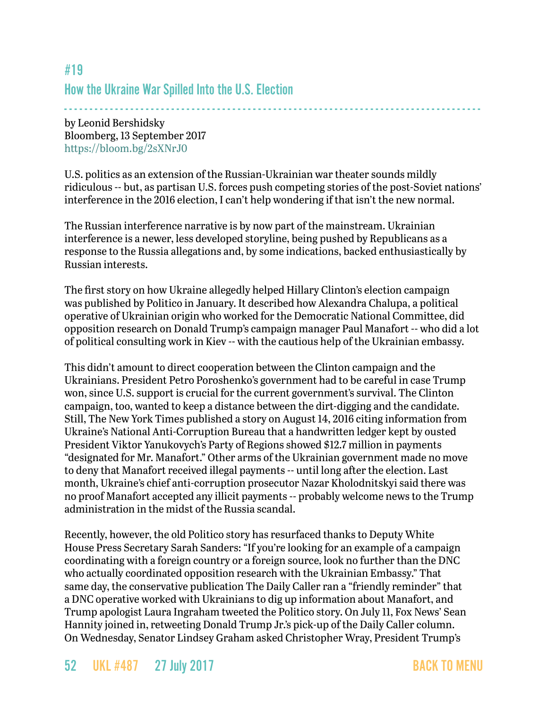## <span id="page-51-0"></span>#19 How the Ukraine War Spilled Into the U.S. Election

- - - - - - - - - - - - - - - - - - - - - - - - - - - - - - - - - - - - - - - - - - - - - - - - - - - - - - - - - - - - - - - - - - - - - - - - - - - - - - - - - by Leonid Bershidsky Bloomberg, 13 September 2017 <https://bloom.bg/2sXNrJ0>

U.S. politics as an extension of the Russian-Ukrainian war theater sounds mildly ridiculous -- but, as partisan U.S. forces push competing stories of the post-Soviet nations' interference in the 2016 election, I can't help wondering if that isn't the new normal.

The Russian interference narrative is by now part of the mainstream. Ukrainian interference is a newer, less developed storyline, being pushed by Republicans as a response to the Russia allegations and, by some indications, backed enthusiastically by Russian interests.

The first story on how Ukraine allegedly helped Hillary Clinton's election campaign was published by Politico in January. It described how Alexandra Chalupa, a political operative of Ukrainian origin who worked for the Democratic National Committee, did opposition research on Donald Trump's campaign manager Paul Manafort -- who did a lot of political consulting work in Kiev -- with the cautious help of the Ukrainian embassy.

This didn't amount to direct cooperation between the Clinton campaign and the Ukrainians. President Petro Poroshenko's government had to be careful in case Trump won, since U.S. support is crucial for the current government's survival. The Clinton campaign, too, wanted to keep a distance between the dirt-digging and the candidate. Still, The New York Times published a story on August 14, 2016 citing information from Ukraine's National Anti-Corruption Bureau that a handwritten ledger kept by ousted President Viktor Yanukovych's Party of Regions showed \$12.7 million in payments "designated for Mr. Manafort." Other arms of the Ukrainian government made no move to deny that Manafort received illegal payments -- until long after the election. Last month, Ukraine's chief anti-corruption prosecutor Nazar Kholodnitskyi said there was no proof Manafort accepted any illicit payments -- probably welcome news to the Trump administration in the midst of the Russia scandal.

Recently, however, the old Politico story has resurfaced thanks to Deputy White House Press Secretary Sarah Sanders: "If you're looking for an example of a campaign coordinating with a foreign country or a foreign source, look no further than the DNC who actually coordinated opposition research with the Ukrainian Embassy." That same day, the conservative publication The Daily Caller ran a "friendly reminder" that a DNC operative worked with Ukrainians to dig up information about Manafort, and Trump apologist Laura Ingraham tweeted the Politico story. On July 11, Fox News' Sean Hannity joined in, retweeting Donald Trump Jr.'s pick-up of the Daily Caller column. On Wednesday, Senator Lindsey Graham asked Christopher Wray, President Trump's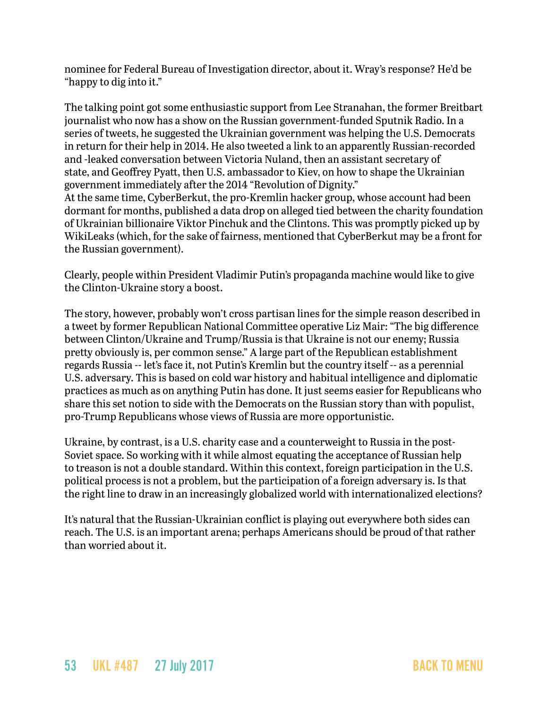nominee for Federal Bureau of Investigation director, about it. Wray's response? He'd be "happy to dig into it."

The talking point got some enthusiastic support from Lee Stranahan, the former Breitbart journalist who now has a show on the Russian government-funded Sputnik Radio. In a series of tweets, he suggested the Ukrainian government was helping the U.S. Democrats in return for their help in 2014. He also tweeted a link to an apparently Russian-recorded and -leaked conversation between Victoria Nuland, then an assistant secretary of state, and Geoffrey Pyatt, then U.S. ambassador to Kiev, on how to shape the Ukrainian government immediately after the 2014 "Revolution of Dignity." At the same time, CyberBerkut, the pro-Kremlin hacker group, whose account had been dormant for months, published a data drop on alleged tied between the charity foundation of Ukrainian billionaire Viktor Pinchuk and the Clintons. This was promptly picked up by WikiLeaks (which, for the sake of fairness, mentioned that CyberBerkut may be a front for the Russian government).

Clearly, people within President Vladimir Putin's propaganda machine would like to give the Clinton-Ukraine story a boost.

The story, however, probably won't cross partisan lines for the simple reason described in a tweet by former Republican National Committee operative Liz Mair: "The big difference between Clinton/Ukraine and Trump/Russia is that Ukraine is not our enemy; Russia pretty obviously is, per common sense." A large part of the Republican establishment regards Russia -- let's face it, not Putin's Kremlin but the country itself -- as a perennial U.S. adversary. This is based on cold war history and habitual intelligence and diplomatic practices as much as on anything Putin has done. It just seems easier for Republicans who share this set notion to side with the Democrats on the Russian story than with populist, pro-Trump Republicans whose views of Russia are more opportunistic.

Ukraine, by contrast, is a U.S. charity case and a counterweight to Russia in the post-Soviet space. So working with it while almost equating the acceptance of Russian help to treason is not a double standard. Within this context, foreign participation in the U.S. political process is not a problem, but the participation of a foreign adversary is. Is that the right line to draw in an increasingly globalized world with internationalized elections?

It's natural that the Russian-Ukrainian conflict is playing out everywhere both sides can reach. The U.S. is an important arena; perhaps Americans should be proud of that rather than worried about it.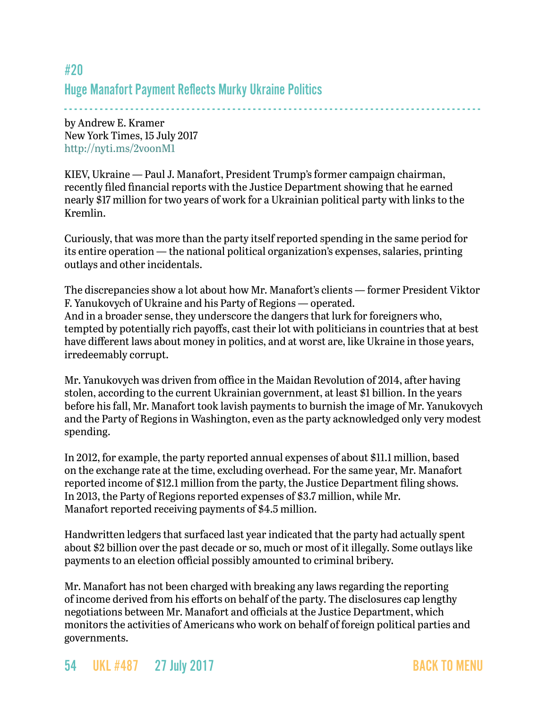## <span id="page-53-0"></span>#20 Huge Manafort Payment Reflects Murky Ukraine Politics

- - - - - - - - - - - - - - - - - - - - - - - - - - - - - - - - - - - - - - - - - - - - - - - - - - - - - - - - - - - - - - - - - - - - - - - - - - - - - - - - - by Andrew E. Kramer New York Times, 15 July 2017 <http://nyti.ms/2voonM1>

KIEV, Ukraine — Paul J. Manafort, President Trump's former campaign chairman, recently filed financial reports with the Justice Department showing that he earned nearly \$17 million for two years of work for a Ukrainian political party with links to the Kremlin.

Curiously, that was more than the party itself reported spending in the same period for its entire operation — the national political organization's expenses, salaries, printing outlays and other incidentals.

The discrepancies show a lot about how Mr. Manafort's clients — former President Viktor F. Yanukovych of Ukraine and his Party of Regions — operated. And in a broader sense, they underscore the dangers that lurk for foreigners who, tempted by potentially rich payoffs, cast their lot with politicians in countries that at best have different laws about money in politics, and at worst are, like Ukraine in those years, irredeemably corrupt.

Mr. Yanukovych was driven from office in the Maidan Revolution of 2014, after having stolen, according to the current Ukrainian government, at least \$1 billion. In the years before his fall, Mr. Manafort took lavish payments to burnish the image of Mr. Yanukovych and the Party of Regions in Washington, even as the party acknowledged only very modest spending.

In 2012, for example, the party reported annual expenses of about \$11.1 million, based on the exchange rate at the time, excluding overhead. For the same year, Mr. Manafort reported income of \$12.1 million from the party, the Justice Department filing shows. In 2013, the Party of Regions reported expenses of \$3.7 million, while Mr. Manafort reported receiving payments of \$4.5 million.

Handwritten ledgers that surfaced last year indicated that the party had actually spent about \$2 billion over the past decade or so, much or most of it illegally. Some outlays like payments to an election official possibly amounted to criminal bribery.

Mr. Manafort has not been charged with breaking any laws regarding the reporting of income derived from his efforts on behalf of the party. The disclosures cap lengthy negotiations between Mr. Manafort and officials at the Justice Department, which monitors the activities of Americans who work on behalf of foreign political parties and governments.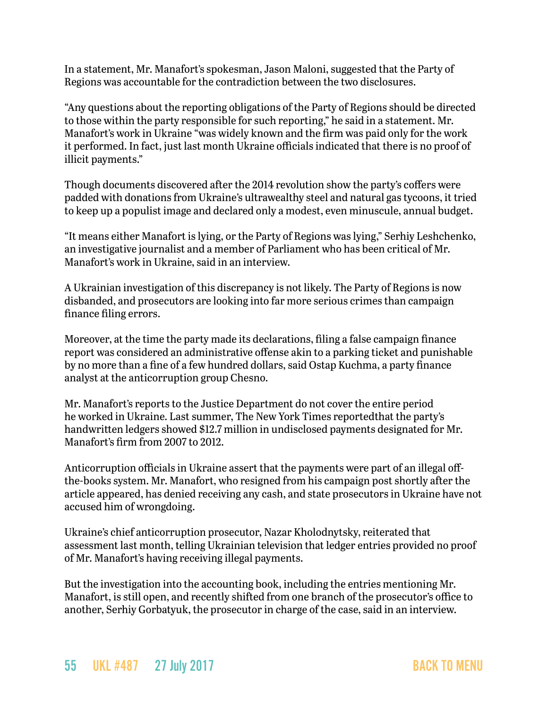In a statement, Mr. Manafort's spokesman, Jason Maloni, suggested that the Party of Regions was accountable for the contradiction between the two disclosures.

"Any questions about the reporting obligations of the Party of Regions should be directed to those within the party responsible for such reporting," he said in a statement. Mr. Manafort's work in Ukraine "was widely known and the firm was paid only for the work it performed. In fact, just last month Ukraine officials indicated that there is no proof of illicit payments."

Though documents discovered after the 2014 revolution show the party's coffers were padded with donations from Ukraine's ultrawealthy steel and natural gas tycoons, it tried to keep up a populist image and declared only a modest, even minuscule, annual budget.

"It means either Manafort is lying, or the Party of Regions was lying," Serhiy Leshchenko, an investigative journalist and a member of Parliament who has been critical of Mr. Manafort's work in Ukraine, said in an interview.

A Ukrainian investigation of this discrepancy is not likely. The Party of Regions is now disbanded, and prosecutors are looking into far more serious crimes than campaign finance filing errors.

Moreover, at the time the party made its declarations, filing a false campaign finance report was considered an administrative offense akin to a parking ticket and punishable by no more than a fine of a few hundred dollars, said Ostap Kuchma, a party finance analyst at the anticorruption group Chesno.

Mr. Manafort's reports to the Justice Department do not cover the entire period he worked in Ukraine. Last summer, The New York Times reportedthat the party's handwritten ledgers showed \$12.7 million in undisclosed payments designated for Mr. Manafort's firm from 2007 to 2012.

Anticorruption officials in Ukraine assert that the payments were part of an illegal offthe-books system. Mr. Manafort, who resigned from his campaign post shortly after the article appeared, has denied receiving any cash, and state prosecutors in Ukraine have not accused him of wrongdoing.

Ukraine's chief anticorruption prosecutor, Nazar Kholodnytsky, reiterated that assessment last month, telling Ukrainian television that ledger entries provided no proof of Mr. Manafort's having receiving illegal payments.

But the investigation into the accounting book, including the entries mentioning Mr. Manafort, is still open, and recently shifted from one branch of the prosecutor's office to another, Serhiy Gorbatyuk, the prosecutor in charge of the case, said in an interview.